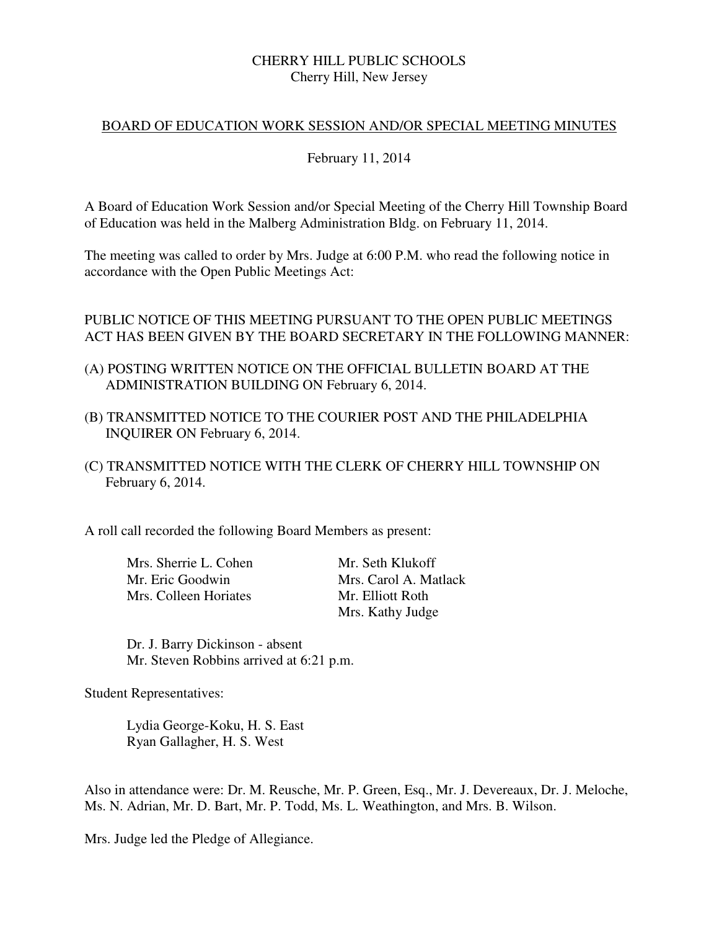#### CHERRY HILL PUBLIC SCHOOLS Cherry Hill, New Jersey

#### BOARD OF EDUCATION WORK SESSION AND/OR SPECIAL MEETING MINUTES

#### February 11, 2014

 A Board of Education Work Session and/or Special Meeting of the Cherry Hill Township Board of Education was held in the Malberg Administration Bldg. on February 11, 2014.

 The meeting was called to order by Mrs. Judge at 6:00 P.M. who read the following notice in accordance with the Open Public Meetings Act:

### PUBLIC NOTICE OF THIS MEETING PURSUANT TO THE OPEN PUBLIC MEETINGS ACT HAS BEEN GIVEN BY THE BOARD SECRETARY IN THE FOLLOWING MANNER:

- (A) POSTING WRITTEN NOTICE ON THE OFFICIAL BULLETIN BOARD AT THE ADMINISTRATION BUILDING ON February 6, 2014.
- (B) TRANSMITTED NOTICE TO THE COURIER POST AND THE PHILADELPHIA INQUIRER ON February 6, 2014.
- (C) TRANSMITTED NOTICE WITH THE CLERK OF CHERRY HILL TOWNSHIP ON February 6, 2014.

A roll call recorded the following Board Members as present:

Mrs. Sherrie L. Cohen Mr. Seth Klukoff Mrs. Colleen Horiates

Mr. Eric Goodwin Mrs. Carol A. Matlack<br>
Mrs. Colleen Horiates Mr. Elliott Roth Mrs. Kathy Judge

 Dr. J. Barry Dickinson - absent Mr. Steven Robbins arrived at 6:21 p.m.

Student Representatives:

 Lydia George-Koku, H. S. East Ryan Gallagher, H. S. West

 Also in attendance were: Dr. M. Reusche, Mr. P. Green, Esq., Mr. J. Devereaux, Dr. J. Meloche, Ms. N. Adrian, Mr. D. Bart, Mr. P. Todd, Ms. L. Weathington, and Mrs. B. Wilson.

Mrs. Judge led the Pledge of Allegiance.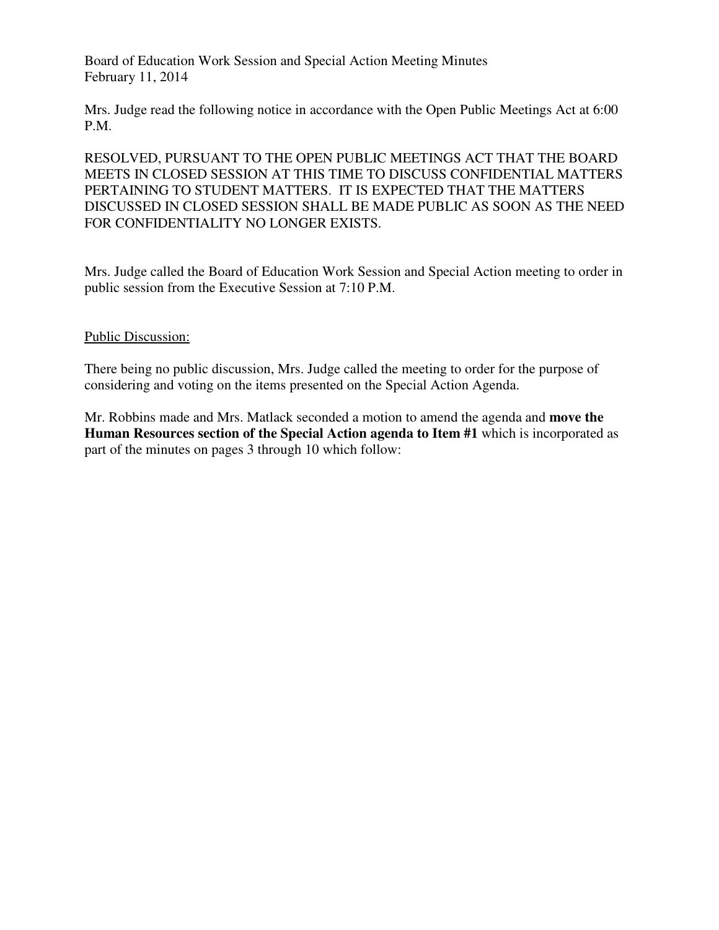Board of Education Work Session and Special Action Meeting Minutes February 11, 2014

 Mrs. Judge read the following notice in accordance with the Open Public Meetings Act at 6:00 P.M.

P.M.<br>RESOLVED, PURSUANT TO THE OPEN PUBLIC MEETINGS ACT THAT THE BOARD MEETS IN CLOSED SESSION AT THIS TIME TO DISCUSS CONFIDENTIAL MATTERS PERTAINING TO STUDENT MATTERS. IT IS EXPECTED THAT THE MATTERS DISCUSSED IN CLOSED SESSION SHALL BE MADE PUBLIC AS SOON AS THE NEED FOR CONFIDENTIALITY NO LONGER EXISTS.

 Mrs. Judge called the Board of Education Work Session and Special Action meeting to order in public session from the Executive Session at 7:10 P.M.

#### Public Discussion:

 There being no public discussion, Mrs. Judge called the meeting to order for the purpose of considering and voting on the items presented on the Special Action Agenda.

 Mr. Robbins made and Mrs. Matlack seconded a motion to amend the agenda and **move the Human Resources section of the Special Action agenda to Item #1** which is incorporated as part of the minutes on pages 3 through 10 which follow: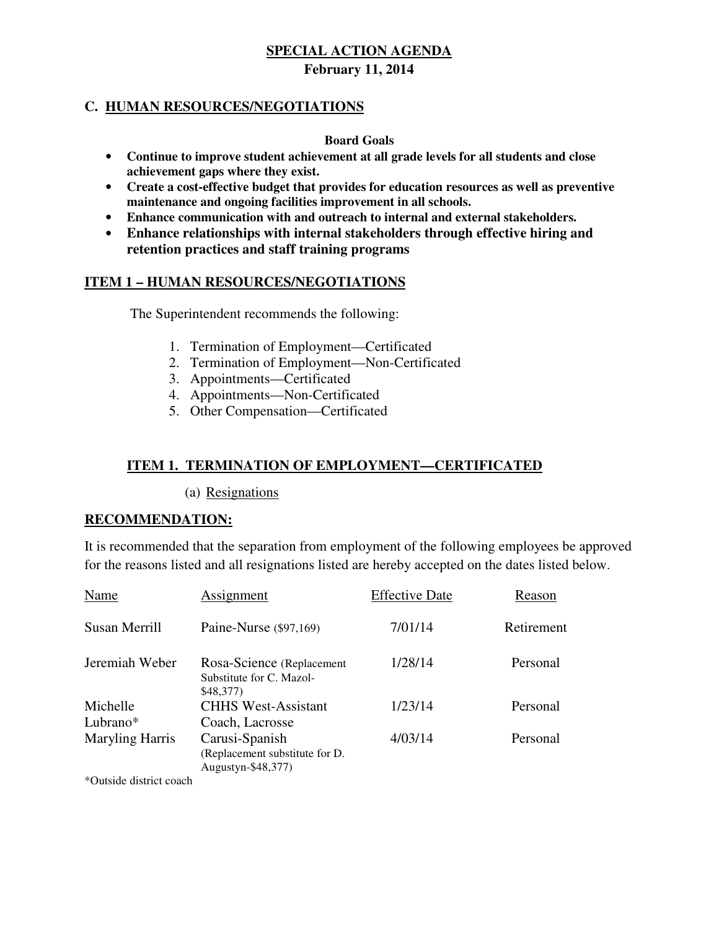### **C. HUMAN RESOURCES/NEGOTIATIONS**

#### **Board Goals**

- **Continue to improve student achievement at all grade levels for all students and close achievement gaps where they exist.**
- **Create a cost-effective budget that provides for education resources as well as preventive maintenance and ongoing facilities improvement in all schools.**
- **Enhance communication with and outreach to internal and external stakeholders.**
- **Enhance relationships with internal stakeholders through effective hiring and retention practices and staff training programs**

### **ITEM 1 – HUMAN RESOURCES/NEGOTIATIONS**

The Superintendent recommends the following:

- 1. Termination of Employment—Certificated
- 2. Termination of Employment—Non-Certificated
- 3. Appointments—Certificated
- 4. Appointments—Non-Certificated
- 5. Other Compensation—Certificated

### **ITEM 1. TERMINATION OF EMPLOYMENT—CERTIFICATED**

(a) Resignations

#### **RECOMMENDATION:**

 It is recommended that the separation from employment of the following employees be approved for the reasons listed and all resignations listed are hereby accepted on the dates listed below.

| Name                                                                                                                                    | Assignment                                                             | <b>Effective Date</b> | Reason     |
|-----------------------------------------------------------------------------------------------------------------------------------------|------------------------------------------------------------------------|-----------------------|------------|
| Susan Merrill                                                                                                                           | Paine-Nurse (\$97,169)                                                 | 7/01/14               | Retirement |
| Jeremiah Weber                                                                                                                          | Rosa-Science (Replacement<br>Substitute for C. Mazol-<br>\$48,377)     | 1/28/14               | Personal   |
| Michelle                                                                                                                                | <b>CHHS West-Assistant</b>                                             | 1/23/14               | Personal   |
| Lubrano*                                                                                                                                | Coach, Lacrosse                                                        |                       |            |
| <b>Maryling Harris</b>                                                                                                                  | Carusi-Spanish<br>(Replacement substitute for D.<br>Augustyn-\$48,377) | 4/03/14               | Personal   |
| $\sqrt[4]{\bigcap_{i=1}^{n} x_{i}}$ , $\sqrt[4]{x_{i}}$ , $\sqrt[4]{x_{i}}$ , $\sqrt[4]{x_{i}}$ , $\sqrt[4]{x_{i}}$ , $\sqrt[4]{x_{i}}$ |                                                                        |                       |            |

\*Outside district coach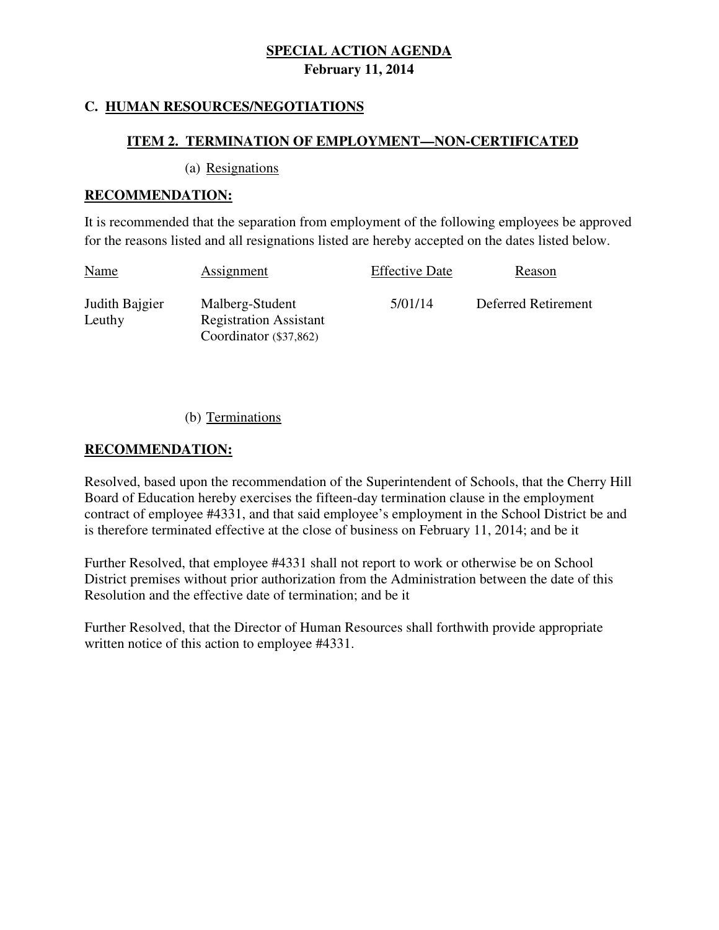### **C. HUMAN RESOURCES/NEGOTIATIONS**

#### **ITEM 2. TERMINATION OF EMPLOYMENT—NON-CERTIFICATED**

(a) Resignations

#### **RECOMMENDATION:**

 It is recommended that the separation from employment of the following employees be approved for the reasons listed and all resignations listed are hereby accepted on the dates listed below.

| <u>Name</u>              | Assignment                                                                   | <b>Effective Date</b> | Reason              |
|--------------------------|------------------------------------------------------------------------------|-----------------------|---------------------|
| Judith Bajgier<br>Leuthy | Malberg-Student<br><b>Registration Assistant</b><br>Coordinator $(\$37,862)$ | 5/01/14               | Deferred Retirement |

(b) Terminations

#### **RECOMMENDATION:**

 Resolved, based upon the recommendation of the Superintendent of Schools, that the Cherry Hill Board of Education hereby exercises the fifteen-day termination clause in the employment contract of employee #4331, and that said employee's employment in the School District be and is therefore terminated effective at the close of business on February 11, 2014; and be it

 Further Resolved, that employee #4331 shall not report to work or otherwise be on School District premises without prior authorization from the Administration between the date of this Resolution and the effective date of termination; and be it

 Further Resolved, that the Director of Human Resources shall forthwith provide appropriate written notice of this action to employee #4331.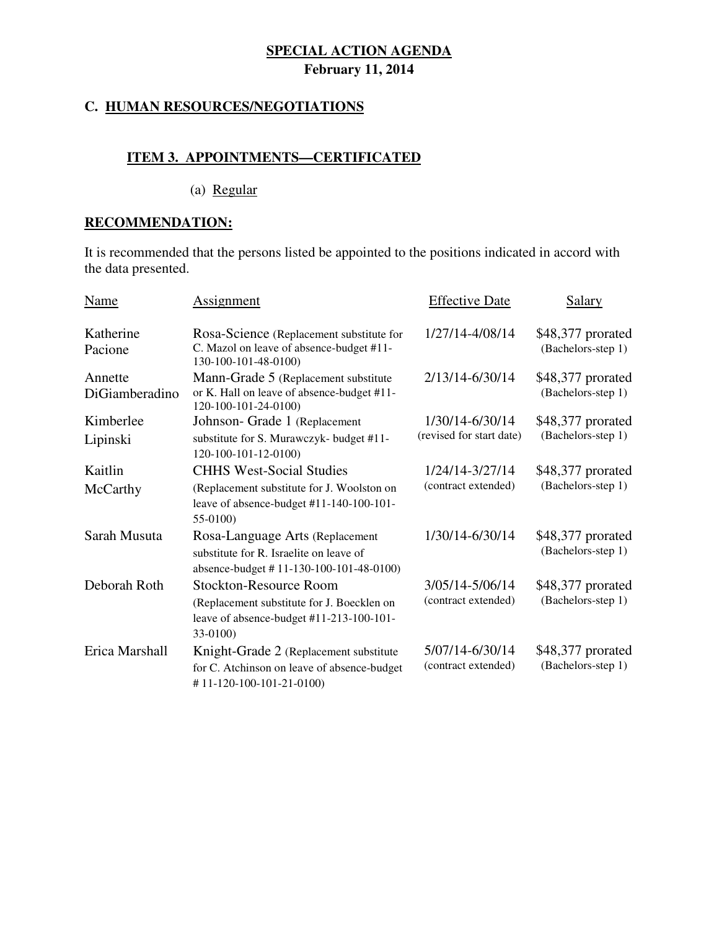#### **C. HUMAN RESOURCES/NEGOTIATIONS**

### **ITEM 3. APPOINTMENTS—CERTIFICATED**

(a) Regular

# **RECOMMENDATION:**

 It is recommended that the persons listed be appointed to the positions indicated in accord with the data presented.

| Name                      | Assignment                                                                                                                            | <b>Effective Date</b>                       | Salary                                  |
|---------------------------|---------------------------------------------------------------------------------------------------------------------------------------|---------------------------------------------|-----------------------------------------|
| Katherine<br>Pacione      | Rosa-Science (Replacement substitute for<br>C. Mazol on leave of absence-budget #11-<br>130-100-101-48-0100)                          | 1/27/14-4/08/14                             | \$48,377 prorated<br>(Bachelors-step 1) |
| Annette<br>DiGiamberadino | Mann-Grade 5 (Replacement substitute<br>or K. Hall on leave of absence-budget #11-<br>120-100-101-24-0100)                            | 2/13/14-6/30/14                             | \$48,377 prorated<br>(Bachelors-step 1) |
| Kimberlee<br>Lipinski     | Johnson- Grade 1 (Replacement<br>substitute for S. Murawczyk- budget #11-<br>120-100-101-12-0100)                                     | 1/30/14-6/30/14<br>(revised for start date) | \$48,377 prorated<br>(Bachelors-step 1) |
| Kaitlin<br>McCarthy       | <b>CHHS West-Social Studies</b><br>(Replacement substitute for J. Woolston on<br>leave of absence-budget #11-140-100-101-<br>55-0100) | 1/24/14-3/27/14<br>(contract extended)      | \$48,377 prorated<br>(Bachelors-step 1) |
| Sarah Musuta              | Rosa-Language Arts (Replacement<br>substitute for R. Israelite on leave of<br>absence-budget #11-130-100-101-48-0100)                 | 1/30/14-6/30/14                             | \$48,377 prorated<br>(Bachelors-step 1) |
| Deborah Roth              | <b>Stockton-Resource Room</b><br>(Replacement substitute for J. Boecklen on<br>leave of absence-budget #11-213-100-101-<br>33-0100)   | 3/05/14-5/06/14<br>(contract extended)      | \$48,377 prorated<br>(Bachelors-step 1) |
| Erica Marshall            | Knight-Grade 2 (Replacement substitute<br>for C. Atchinson on leave of absence-budget<br>#11-120-100-101-21-0100)                     | 5/07/14-6/30/14<br>(contract extended)      | \$48,377 prorated<br>(Bachelors-step 1) |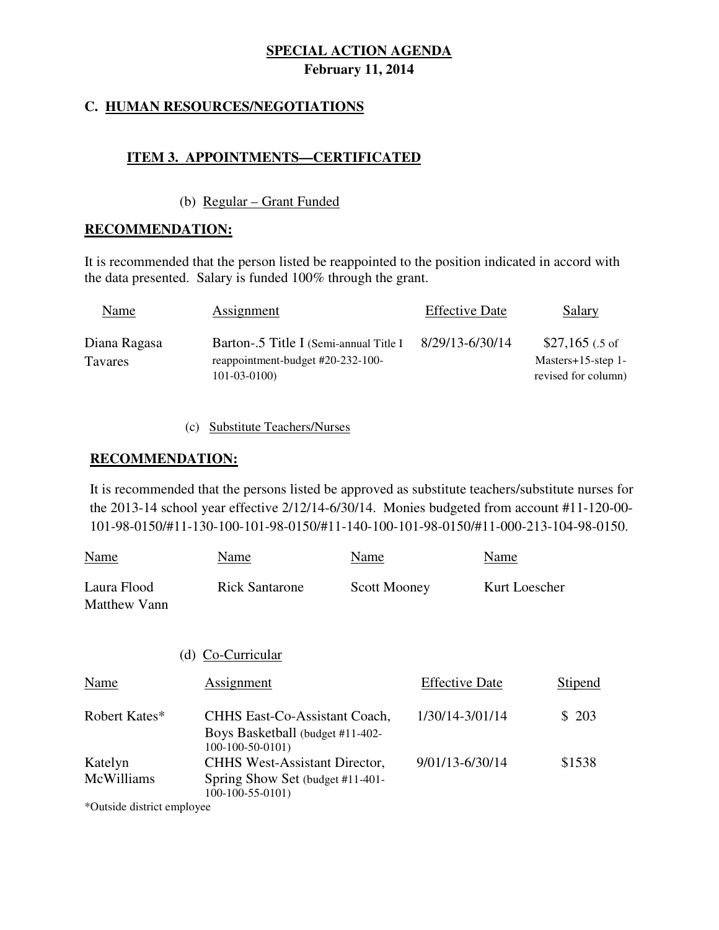### **C. HUMAN RESOURCES/NEGOTIATIONS**

### **ITEM 3. APPOINTMENTS—CERTIFICATED**

#### (b) Regular – Grant Funded

#### **RECOMMENDATION:**

 It is recommended that the person listed be reappointed to the position indicated in accord with the data presented. Salary is funded 100% through the grant.

| Name                           | Assignment                                                                                        | <b>Effective Date</b> | <b>Salary</b>                                                     |
|--------------------------------|---------------------------------------------------------------------------------------------------|-----------------------|-------------------------------------------------------------------|
| Diana Ragasa<br><b>Tavares</b> | Barton-.5 Title I (Semi-annual Title I)<br>reappointment-budget #20-232-100-<br>$101 - 03 - 0100$ | 8/29/13-6/30/14       | $$27,165$ (.5 of<br>Masters $+15$ -step 1-<br>revised for column) |

#### (c) Substitute Teachers/Nurses

#### **RECOMMENDATION:**

 It is recommended that the persons listed be approved as substitute teachers/substitute nurses for the 2013-14 school year effective 2/12/14-6/30/14. Monies budgeted from account #11-120-00- 101-98-0150/#11-130-100-101-98-0150/#11-140-100-101-98-0150/#11-000-213-104-98-0150.

| Name                               | Name                                                                                          | Name                | Name                  |               |
|------------------------------------|-----------------------------------------------------------------------------------------------|---------------------|-----------------------|---------------|
| Laura Flood<br><b>Matthew Vann</b> | <b>Rick Santarone</b>                                                                         | <b>Scott Mooney</b> |                       | Kurt Loescher |
|                                    | Co-Curricular<br>(d)                                                                          |                     |                       |               |
| Name                               | Assignment                                                                                    |                     | <b>Effective Date</b> | Stipend       |
| Robert Kates*                      | <b>CHHS East-Co-Assistant Coach,</b><br>Boys Basketball (budget #11-402-<br>$100-100-50-0101$ |                     | 1/30/14-3/01/14       | \$203         |
| Katelyn<br>McWilliams              | <b>CHHS West-Assistant Director,</b><br>Spring Show Set (budget #11-401-<br>$100-100-55-0101$ |                     | 9/01/13-6/30/14       | \$1538        |

\*Outside district employee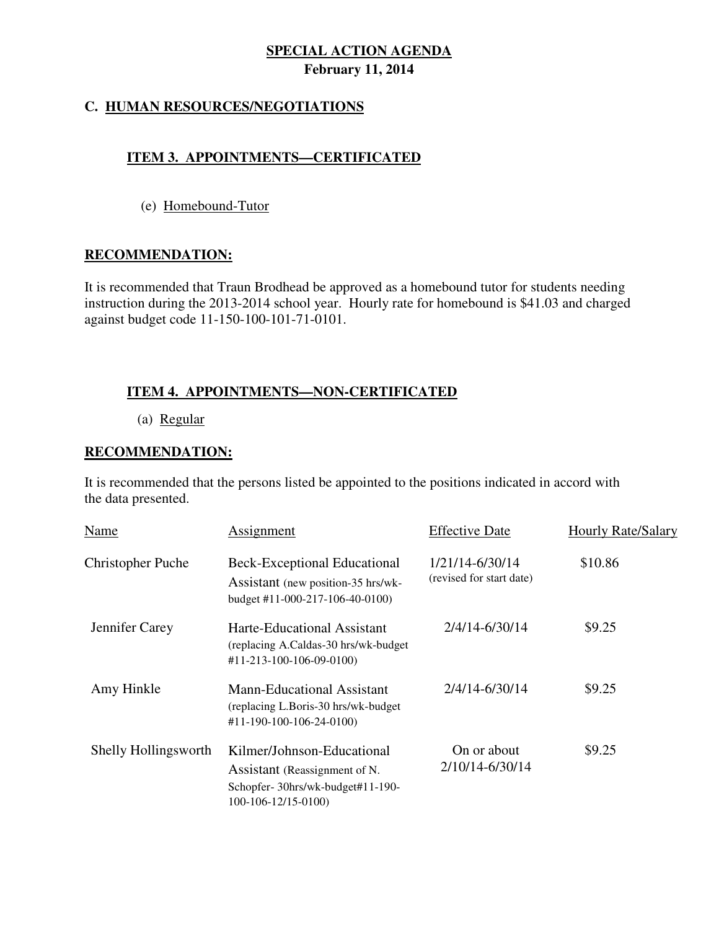### **C. HUMAN RESOURCES/NEGOTIATIONS**

### **ITEM 3. APPOINTMENTS—CERTIFICATED**

(e) Homebound-Tutor

#### **RECOMMENDATION:**

 It is recommended that Traun Brodhead be approved as a homebound tutor for students needing instruction during the 2013-2014 school year. Hourly rate for homebound is \$41.03 and charged against budget code 11-150-100-101-71-0101.

### **ITEM 4. APPOINTMENTS—NON-CERTIFICATED**

(a) Regular

#### **RECOMMENDATION:**

 It is recommended that the persons listed be appointed to the positions indicated in accord with the data presented.

| Name                     | Assignment                                                                                                             | <b>Effective Date</b>                       | <b>Hourly Rate/Salary</b> |
|--------------------------|------------------------------------------------------------------------------------------------------------------------|---------------------------------------------|---------------------------|
| <b>Christopher Puche</b> | <b>Beck-Exceptional Educational</b><br>Assistant (new position-35 hrs/wk-<br>budget #11-000-217-106-40-0100)           | 1/21/14-6/30/14<br>(revised for start date) | \$10.86                   |
| Jennifer Carey           | Harte-Educational Assistant<br>(replacing A.Caldas-30 hrs/wk-budget<br>#11-213-100-106-09-0100)                        | 2/4/14-6/30/14                              | \$9.25                    |
| Amy Hinkle               | <b>Mann-Educational Assistant</b><br>(replacing L.Boris-30 hrs/wk-budget)<br>#11-190-100-106-24-0100)                  | 2/4/14-6/30/14                              | \$9.25                    |
| Shelly Hollingsworth     | Kilmer/Johnson-Educational<br>Assistant (Reassignment of N.<br>Schopfer-30hrs/wk-budget#11-190-<br>100-106-12/15-0100) | On or about<br>2/10/14-6/30/14              | \$9.25                    |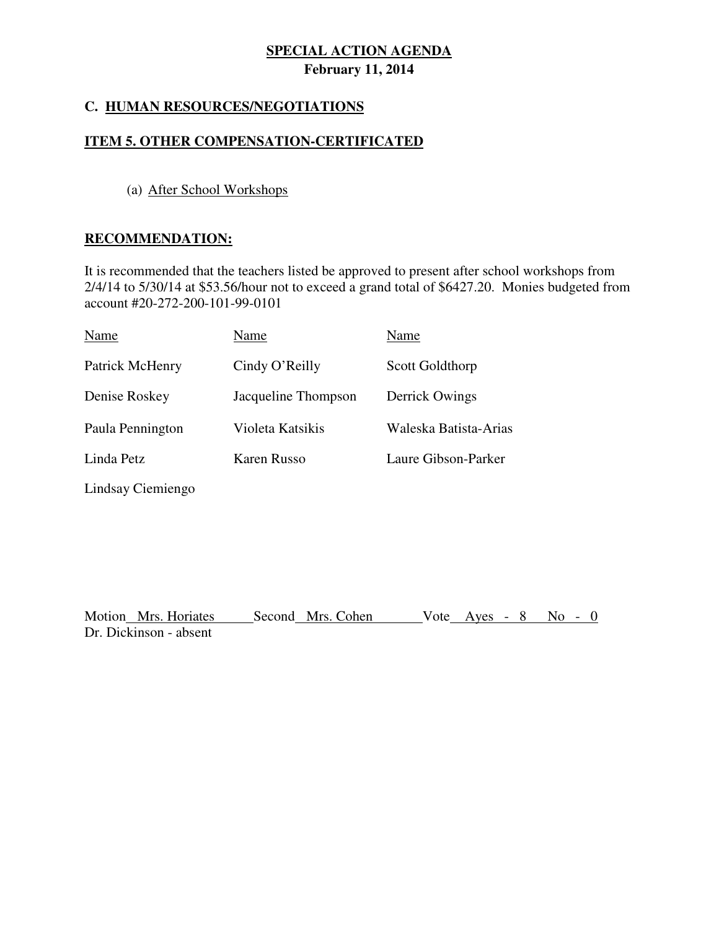### **C. HUMAN RESOURCES/NEGOTIATIONS**

#### **ITEM 5. OTHER COMPENSATION-CERTIFICATED**

#### (a) After School Workshops

#### **RECOMMENDATION:**

Lindsay Ciemiengo

 It is recommended that the teachers listed be approved to present after school workshops from 2/4/14 to 5/30/14 at \$53.56/hour not to exceed a grand total of \$6427.20. Monies budgeted from account #20-272-200-101-99-0101

| Name             | Name                | Name                  |
|------------------|---------------------|-----------------------|
| Patrick McHenry  | Cindy O'Reilly      | Scott Goldthorp       |
| Denise Roskey    | Jacqueline Thompson | Derrick Owings        |
| Paula Pennington | Violeta Katsikis    | Waleska Batista-Arias |
| Linda Petz       | Karen Russo         | Laure Gibson-Parker   |
|                  |                     |                       |

Motion Mrs. Horiates Second Mrs. Cohen Vote Ayes - 8 No - 0 Dr. Dickinson - absent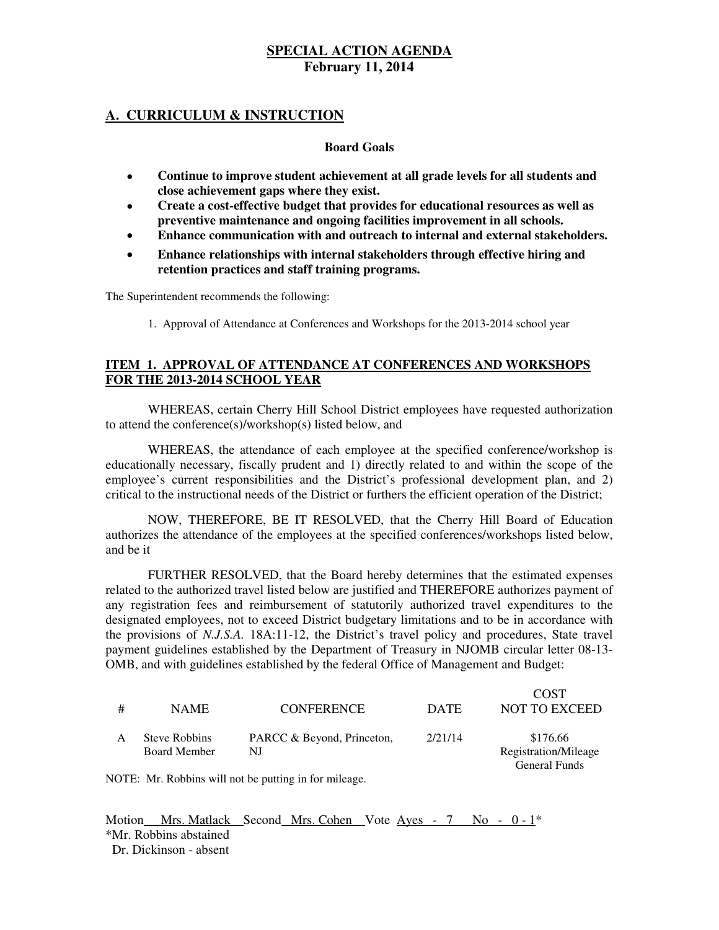#### **A. CURRICULUM & INSTRUCTION**

#### **Board Goals**

- **Continue to improve student achievement at all grade levels for all students and close achievement gaps where they exist.**
- **Create a cost-effective budget that provides for educational resources as well as preventive maintenance and ongoing facilities improvement in all schools.**
- **Enhance communication with and outreach to internal and external stakeholders.**
- **Enhance relationships with internal stakeholders through effective hiring and retention practices and staff training programs.**

The Superintendent recommends the following:

1. Approval of Attendance at Conferences and Workshops for the 2013-2014 school year

#### **ITEM 1. APPROVAL OF ATTENDANCE AT CONFERENCES AND WORKSHOPS FOR THE 2013-2014 SCHOOL YEAR**

 WHEREAS, certain Cherry Hill School District employees have requested authorization to attend the conference(s)/workshop(s) listed below, and

 WHEREAS, the attendance of each employee at the specified conference/workshop is educationally necessary, fiscally prudent and 1) directly related to and within the scope of the employee's current responsibilities and the District's professional development plan, and 2) critical to the instructional needs of the District or furthers the efficient operation of the District;

 NOW, THEREFORE, BE IT RESOLVED, that the Cherry Hill Board of Education authorizes the attendance of the employees at the specified conferences/workshops listed below, and be it

 FURTHER RESOLVED, that the Board hereby determines that the estimated expenses related to the authorized travel listed below are justified and THEREFORE authorizes payment of any registration fees and reimbursement of statutorily authorized travel expenditures to the designated employees, not to exceed District budgetary limitations and to be in accordance with the provisions of *N.J.S.A.* 18A:11-12, the District's travel policy and procedures, State travel payment guidelines established by the Department of Treasury in NJOMB circular letter 08-13- OMB, and with guidelines established by the federal Office of Management and Budget:

| # | <b>NAME</b>                          | <b>CONFERENCE</b>                | <b>DATE</b> | <b>COST</b><br><b>NOT TO EXCEED</b>                      |
|---|--------------------------------------|----------------------------------|-------------|----------------------------------------------------------|
|   | Steve Robbins<br><b>Board Member</b> | PARCC & Beyond, Princeton,<br>NJ | 2/21/14     | \$176.66<br>Registration/Mileage<br><b>General Funds</b> |

NOTE: Mr. Robbins will not be putting in for mileage.

Motion Mrs. Matlack Second Mrs. Cohen Vote Ayes - 7 No - 0 - 1<sup>\*</sup> \*Mr. Robbins abstained Dr. Dickinson - absent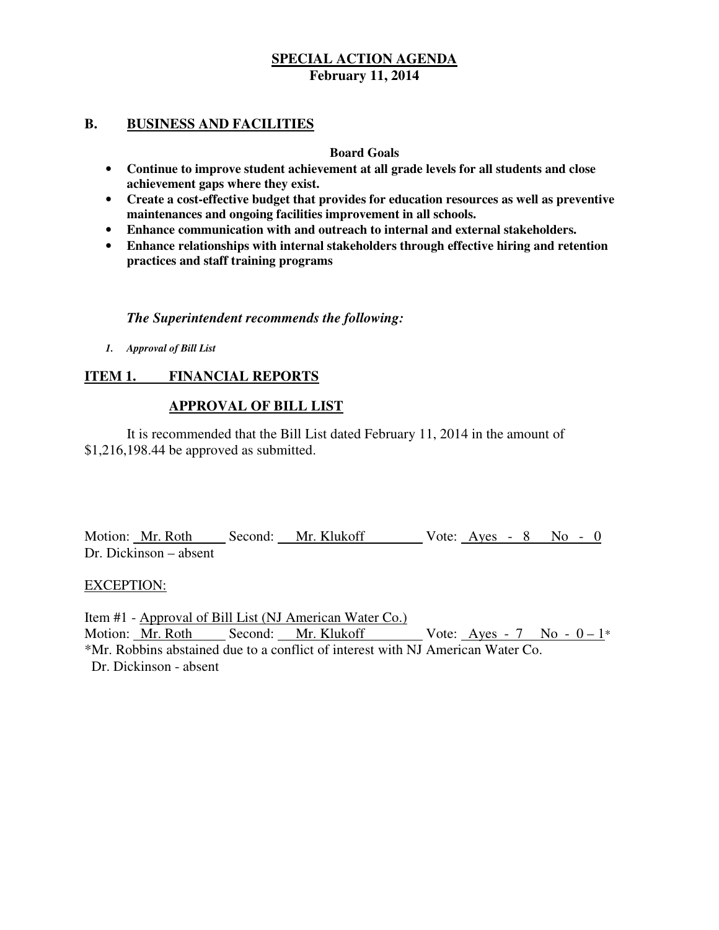#### **B. BUSINESS AND FACILITIES**

#### **Board Goals**

- **Continue to improve student achievement at all grade levels for all students and close achievement gaps where they exist.**
- **Create a cost-effective budget that provides for education resources as well as preventive maintenances and ongoing facilities improvement in all schools.**
- **Enhance communication with and outreach to internal and external stakeholders.**
- **Enhance relationships with internal stakeholders through effective hiring and retention practices and staff training programs**

### *The Superintendent recommends the following:*

 *1. Approval of Bill List* 

#### **ITEM 1. FINANCIAL REPORTS**

#### **APPROVAL OF BILL LIST**

 \$1,216,198.44 be approved as submitted. It is recommended that the Bill List dated February 11, 2014 in the amount of

Motion: Mr. Roth Second: Mr. Klukoff Vote: Ayes - 8 No - 0 Dr. Dickinson – absent

#### EXCEPTION:

 Item #1 - Approval of Bill List (NJ American Water Co.) Motion: <u>Mr. Roth Second: Mr. Klukoff</u> Vote: <u>Ayes - 7 No - 0 – 1</u>\* \*Mr. Robbins abstained due to a conflict of interest with NJ American Water Co. Dr. Dickinson - absent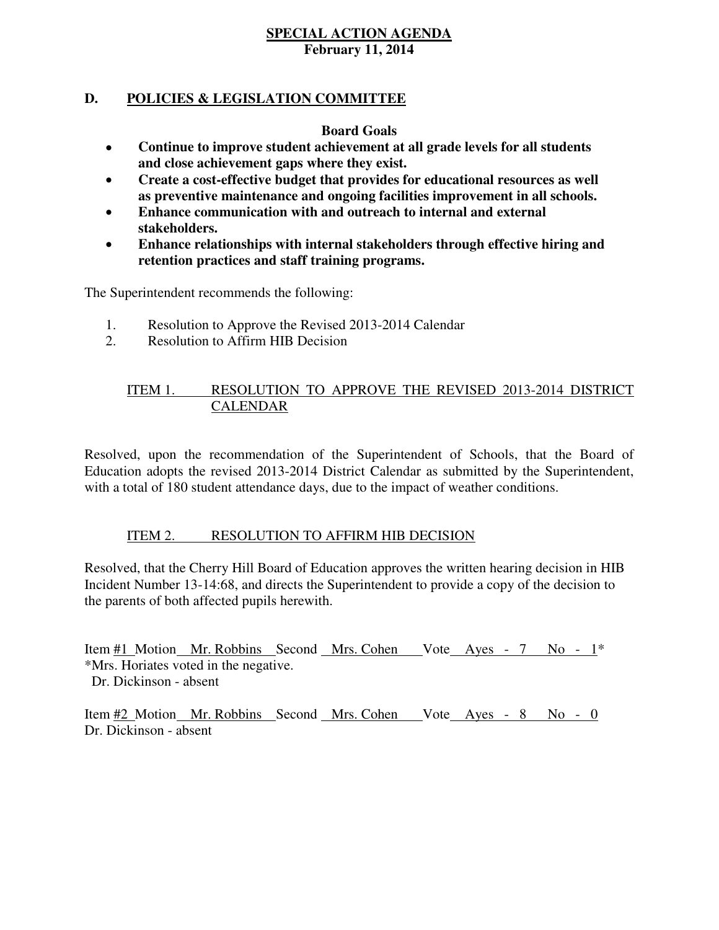### **D. POLICIES & LEGISLATION COMMITTEE**

#### **Board Goals**

- **Continue to improve student achievement at all grade levels for all students and close achievement gaps where they exist.**
- **Create a cost-effective budget that provides for educational resources as well as preventive maintenance and ongoing facilities improvement in all schools.**
- **Enhance communication with and outreach to internal and external stakeholders.**
- **Enhance relationships with internal stakeholders through effective hiring and retention practices and staff training programs.**

The Superintendent recommends the following:

- 1. Resolution to Approve the Revised 2013-2014 Calendar
- 2. Resolution to Affirm HIB Decision

#### ITEM 1. RESOLUTION TO APPROVE THE REVISED 2013-2014 DISTRICT CALENDAR

 Resolved, upon the recommendation of the Superintendent of Schools, that the Board of Education adopts the revised 2013-2014 District Calendar as submitted by the Superintendent, with a total of 180 student attendance days, due to the impact of weather conditions.

#### ITEM 2. RESOLUTION TO AFFIRM HIB DECISION

 Resolved, that the Cherry Hill Board of Education approves the written hearing decision in HIB Incident Number 13-14:68, and directs the Superintendent to provide a copy of the decision to the parents of both affected pupils herewith.

Item #1 Motion Mr. Robbins Second Mrs. Cohen Vote Ayes - 7 No - 1<sup>\*</sup> \*Mrs. Horiates voted in the negative. Dr. Dickinson - absent

Item #2 Motion Mr. Robbins Second Mrs. Cohen Vote Ayes - 8 No - 0 Dr. Dickinson - absent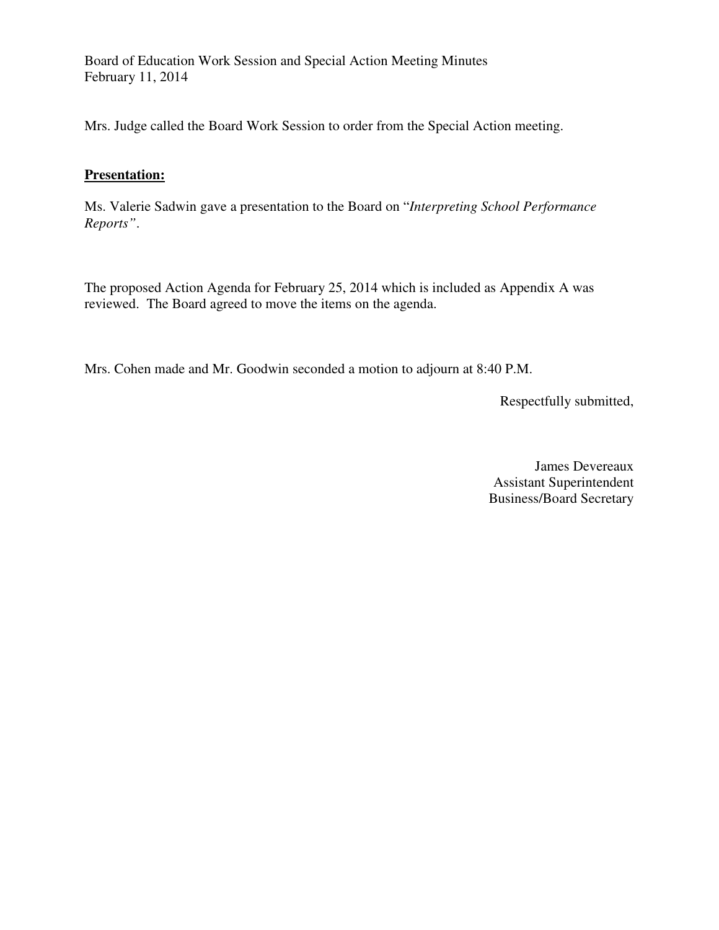Board of Education Work Session and Special Action Meeting Minutes February 11, 2014

Mrs. Judge called the Board Work Session to order from the Special Action meeting.

#### **Presentation:**

 Ms. Valerie Sadwin gave a presentation to the Board on "*Interpreting School Performance Reports"*.

 The proposed Action Agenda for February 25, 2014 which is included as Appendix A was reviewed. The Board agreed to move the items on the agenda.

Mrs. Cohen made and Mr. Goodwin seconded a motion to adjourn at 8:40 P.M.

Respectfully submitted,

 James Devereaux Business/Board Secretary Assistant Superintendent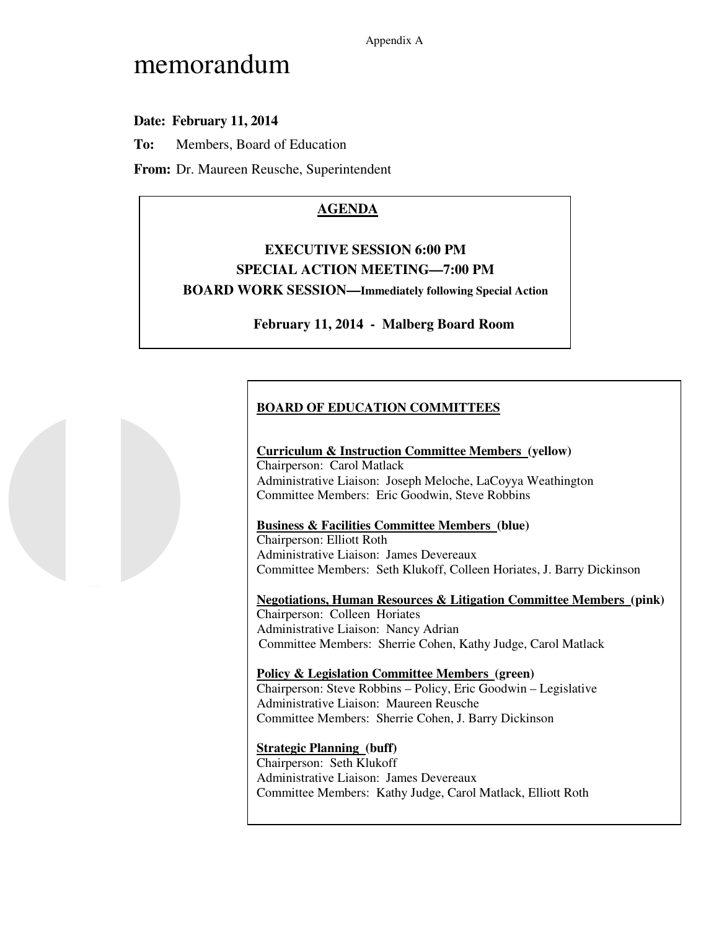Appendix A

# memorandum

# **Date: February 11, 2014**

**To:** Members, Board of Education

**From:** Dr. Maureen Reusche, Superintendent

# **AGENDA**

# **EXECUTIVE SESSION 6:00 PM SPECIAL ACTION MEETING—7:00 PM BOARD WORK SESSION—Immediately following Special Action**

 **February 11, 2014 - Malberg Board Room** 

# **BOARD OF EDUCATION COMMITTEES**

#### **Curriculum & Instruction Committee Members (yellow)**

 Chairperson: Carol Matlack Administrative Liaison: Joseph Meloche, LaCoyya Weathington Committee Members: Eric Goodwin, Steve Robbins

#### **Business & Facilities Committee Members (blue)**

 Chairperson: Elliott Roth Administrative Liaison: James Devereaux Committee Members: Seth Klukoff, Colleen Horiates, J. Barry Dickinson

 **Negotiations, Human Resources & Litigation Committee Members (pink)**  Chairperson: Colleen Horiates Administrative Liaison: Nancy Adrian Committee Members: Sherrie Cohen, Kathy Judge, Carol Matlack

#### **Policy & Legislation Committee Members (green)**  Chairperson: Steve Robbins – Policy, Eric Goodwin – Legislative Administrative Liaison: Maureen Reusche Committee Members: Sherrie Cohen, J. Barry Dickinson

#### **Strategic Planning (buff)**

 Chairperson: Seth Klukoff Administrative Liaison: James Devereaux Committee Members: Kathy Judge, Carol Matlack, Elliott Roth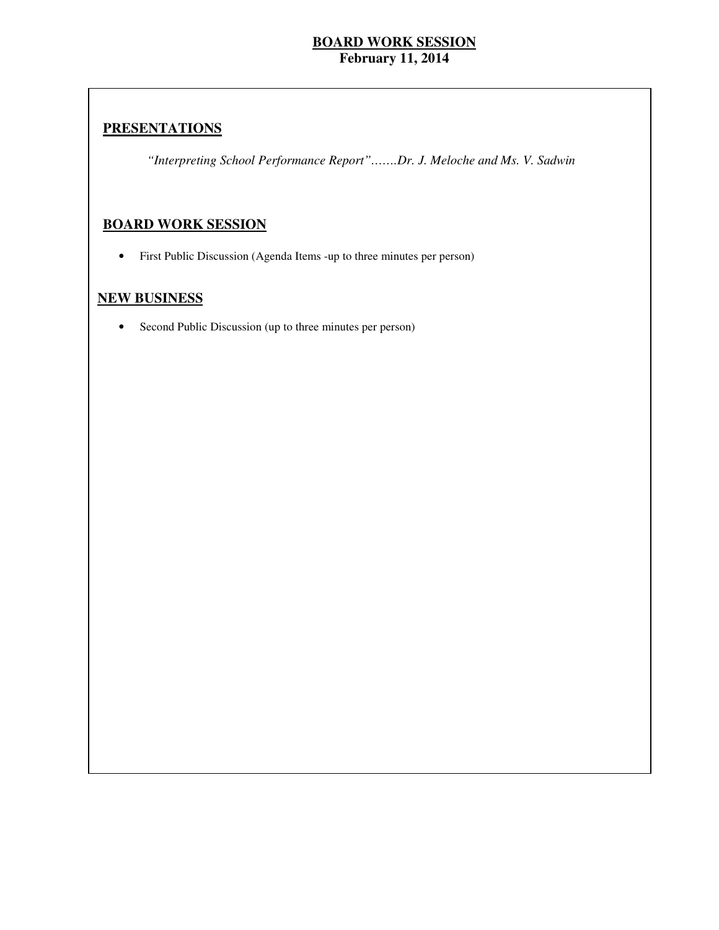### **PRESENTATIONS**

 *"Interpreting School Performance Report"…….Dr. J. Meloche and Ms. V. Sadwin* 

### **BOARD WORK SESSION**

• First Public Discussion (Agenda Items -up to three minutes per person)

#### **NEW BUSINESS**

• Second Public Discussion (up to three minutes per person)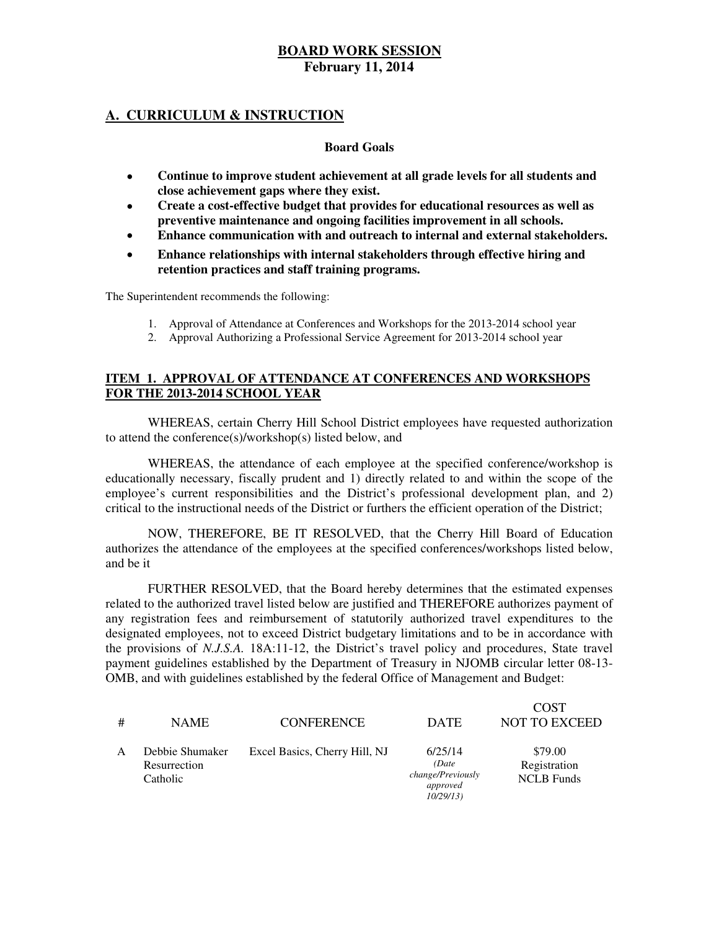#### **A. CURRICULUM & INSTRUCTION**

#### **Board Goals**

- **Continue to improve student achievement at all grade levels for all students and close achievement gaps where they exist.**
- **Create a cost-effective budget that provides for educational resources as well as preventive maintenance and ongoing facilities improvement in all schools.**
- **Enhance communication with and outreach to internal and external stakeholders.**
- **Enhance relationships with internal stakeholders through effective hiring and retention practices and staff training programs.**

The Superintendent recommends the following:

- 1. Approval of Attendance at Conferences and Workshops for the 2013-2014 school year
- 2. Approval Authorizing a Professional Service Agreement for 2013-2014 school year

#### **ITEM 1. APPROVAL OF ATTENDANCE AT CONFERENCES AND WORKSHOPS FOR THE 2013-2014 SCHOOL YEAR**

 WHEREAS, certain Cherry Hill School District employees have requested authorization to attend the conference(s)/workshop(s) listed below, and

 WHEREAS, the attendance of each employee at the specified conference/workshop is educationally necessary, fiscally prudent and 1) directly related to and within the scope of the employee's current responsibilities and the District's professional development plan, and 2) critical to the instructional needs of the District or furthers the efficient operation of the District;

 NOW, THEREFORE, BE IT RESOLVED, that the Cherry Hill Board of Education authorizes the attendance of the employees at the specified conferences/workshops listed below, and be it

 FURTHER RESOLVED, that the Board hereby determines that the estimated expenses related to the authorized travel listed below are justified and THEREFORE authorizes payment of any registration fees and reimbursement of statutorily authorized travel expenditures to the designated employees, not to exceed District budgetary limitations and to be in accordance with the provisions of *N.J.S.A.* 18A:11-12, the District's travel policy and procedures, State travel payment guidelines established by the Department of Treasury in NJOMB circular letter 08-13- OMB, and with guidelines established by the federal Office of Management and Budget:

| #            | <b>NAME</b>                                 | <b>CONFERENCE</b>             | <b>DATE</b>                                                   | <b>COST</b><br><b>NOT TO EXCEED</b>          |
|--------------|---------------------------------------------|-------------------------------|---------------------------------------------------------------|----------------------------------------------|
| $\mathsf{A}$ | Debbie Shumaker<br>Resurrection<br>Catholic | Excel Basics, Cherry Hill, NJ | 6/25/14<br>(Date<br>change/Previously<br>approved<br>10/29/13 | \$79.00<br>Registration<br><b>NCLB</b> Funds |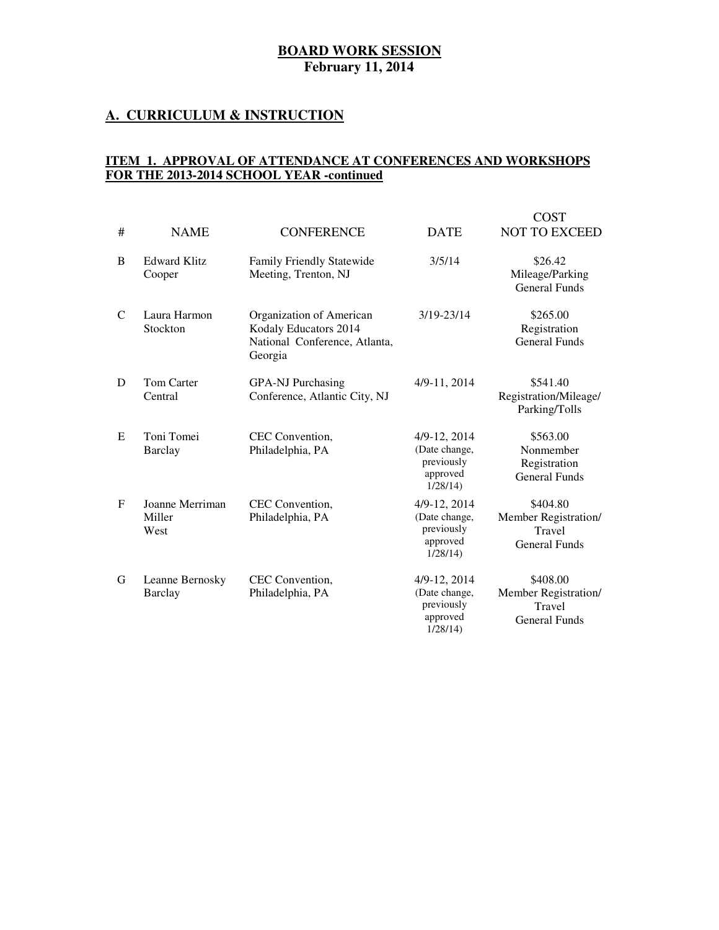#### **February 11, 2014**

#### **A. CURRICULUM & INSTRUCTION**

#### **ITEM 1. APPROVAL OF ATTENDANCE AT CONFERENCES AND WORKSHOPS FOR THE 2013-2014 SCHOOL YEAR -continued**

|   | <b>BOARD WORK SESSION</b><br><b>February 11, 2014</b> |                                                                                                              |                                                                        |                                                                    |  |  |
|---|-------------------------------------------------------|--------------------------------------------------------------------------------------------------------------|------------------------------------------------------------------------|--------------------------------------------------------------------|--|--|
|   |                                                       | <u>. CURRICULUM &amp; INSTRUCTION</u>                                                                        |                                                                        |                                                                    |  |  |
|   |                                                       | <u>TEM 1. APPROVAL OF ATTENDANCE AT CONFERENCES AND WORKSHOPS</u><br>OR THE 2013-2014 SCHOOL YEAR -continued |                                                                        |                                                                    |  |  |
| # | <b>NAME</b>                                           | <b>CONFERENCE</b>                                                                                            | <b>DATE</b>                                                            | <b>COST</b><br><b>NOT TO EXCEED</b>                                |  |  |
| B | <b>Edward Klitz</b><br>Cooper                         | Family Friendly Statewide<br>Meeting, Trenton, NJ                                                            | 3/5/14                                                                 | \$26.42<br>Mileage/Parking<br><b>General Funds</b>                 |  |  |
| C | Laura Harmon<br>Stockton                              | Organization of American<br>Kodaly Educators 2014<br>National Conference, Atlanta,<br>Georgia                | 3/19-23/14                                                             | \$265.00<br>Registration<br><b>General Funds</b>                   |  |  |
| D | Tom Carter<br>Central                                 | <b>GPA-NJ Purchasing</b><br>Conference, Atlantic City, NJ                                                    | 4/9-11, 2014                                                           | \$541.40<br>Registration/Mileage/<br>Parking/Tolls                 |  |  |
| E | Toni Tomei<br><b>Barclay</b>                          | CEC Convention,<br>Philadelphia, PA                                                                          | 4/9-12, 2014<br>(Date change,<br>previously<br>approved<br>1/28/14     | \$563.00<br>Nonmember<br>Registration<br><b>General Funds</b>      |  |  |
| F | Joanne Merriman<br>Miller<br>West                     | CEC Convention,<br>Philadelphia, PA                                                                          | 4/9-12, 2014<br>(Date change,<br>previously<br>approved<br>1/28/14)    | \$404.80<br>Member Registration/<br>Travel<br><b>General Funds</b> |  |  |
| G | Leanne Bernosky<br>Barclay                            | CEC Convention,<br>Philadelphia, PA                                                                          | 4/9-12, 2014<br>(Date change,<br>previously<br>approved<br>$1/28/14$ ) | \$408.00<br>Member Registration/<br>Travel<br><b>General Funds</b> |  |  |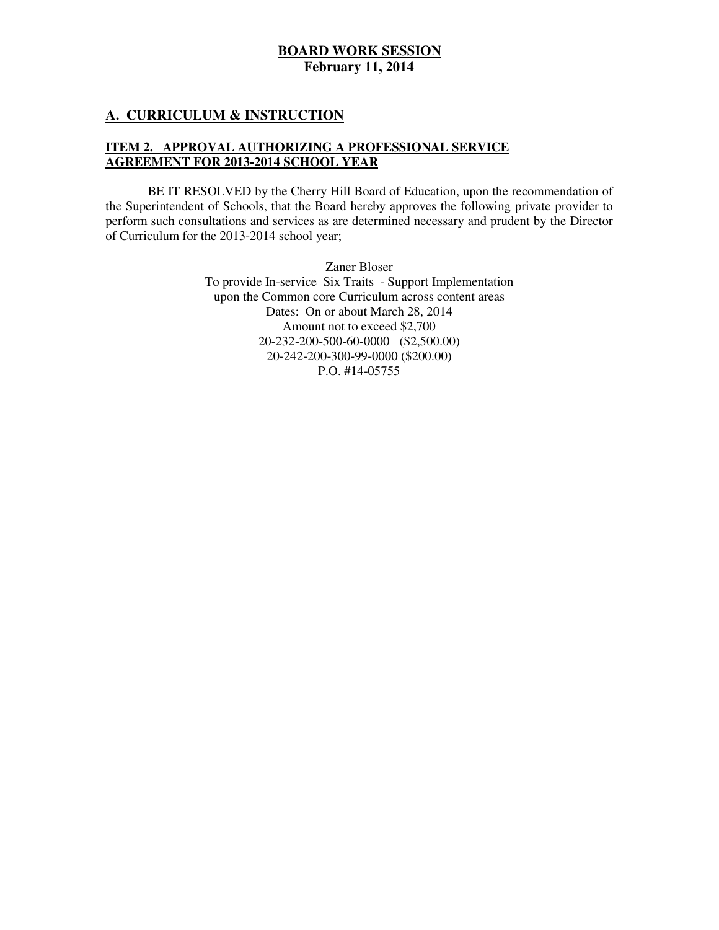#### **A. CURRICULUM & INSTRUCTION**

#### **ITEM 2. APPROVAL AUTHORIZING A PROFESSIONAL SERVICE AGREEMENT FOR 2013-2014 SCHOOL YEAR**

 the Superintendent of Schools, that the Board hereby approves the following private provider to perform such consultations and services as are determined necessary and prudent by the Director of Curriculum for the 2013-2014 school year; BE IT RESOLVED by the Cherry Hill Board of Education, upon the recommendation of

> Zaner Bloser To provide In-service Six Traits - Support Implementation upon the Common core Curriculum across content areas Dates: On or about March 28, 2014 Amount not to exceed \$2,700 20-232-200-500-60-0000 (\$2,500.00) 20-242-200-300-99-0000 (\$200.00) P.O. #14-05755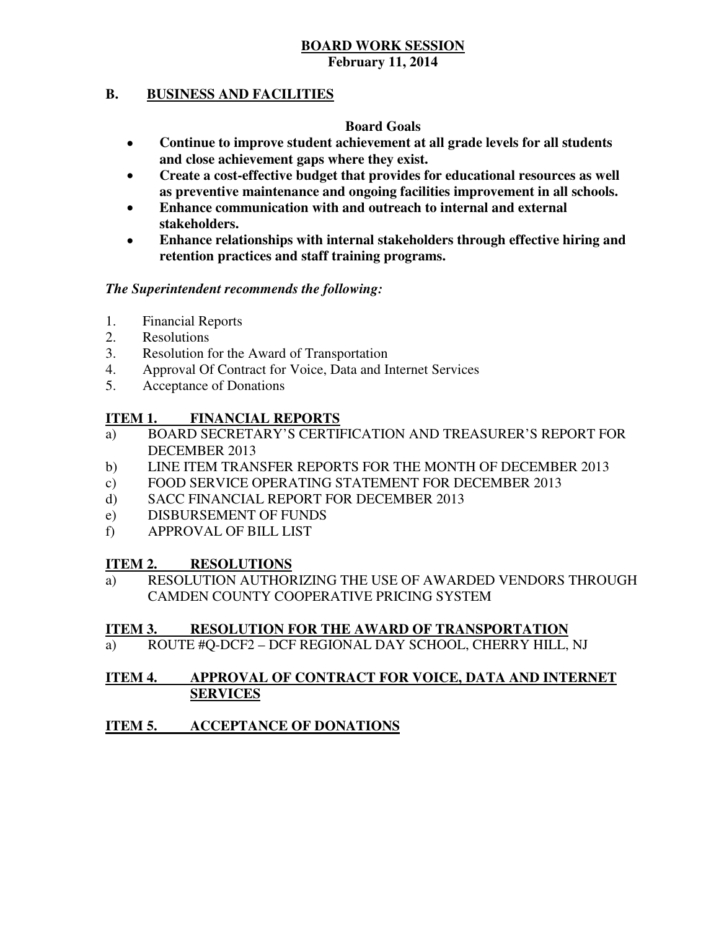#### **B. B. BUSINESS AND FACILITIES**

### **Board Goals**

- **Continue to improve student achievement at all grade levels for all students and close achievement gaps where they exist.**
- **Create a cost-effective budget that provides for educational resources as well as preventive maintenance and ongoing facilities improvement in all schools.**
- **Enhance communication with and outreach to internal and external stakeholders.**
- **Enhance relationships with internal stakeholders through effective hiring and retention practices and staff training programs.**

#### *The Superintendent recommends the following:*

- 1. Financial Reports
- 2. Resolutions
- 3. Resolution for the Award of Transportation
- 4. Approval Of Contract for Voice, Data and Internet Services
- 5. Acceptance of Donations

#### **ITEM 1. FINANCIAL REPORTS**

- a) BOARD SECRETARY'S CERTIFICATION AND TREASURER'S REPORT FOR DECEMBER 2013
- $b)$ b) LINE ITEM TRANSFER REPORTS FOR THE MONTH OF DECEMBER 2013
- $\mathbf{c})$ FOOD SERVICE OPERATING STATEMENT FOR DECEMBER 2013
- $\mathbf{d}$ SACC FINANCIAL REPORT FOR DECEMBER 2013
- e) DISBURSEMENT OF FUNDS
- f) APPROVAL OF BILL LIST

#### **ITEM 2. IRESOLUTIONS**

 a) RESOLUTION AUTHORIZING THE USE OF AWARDED VENDORS THROUGH CAMDEN COUNTY COOPERATIVE PRICING SYSTEM

#### **ITEM 3. RESOLUTION FOR THE AWARD OF TRANSPORTATION**

a) ROUTE #Q-DCF2 – DCF REGIONAL DAY SCHOOL, CHERRY HILL, NJ

#### **ITEM 4. APPROVAL OF CONTRACT FOR VOICE, DATA AND INTERNET SERVICES**

#### **ITEM 5. ACCEPTANCE OF DONATIONS**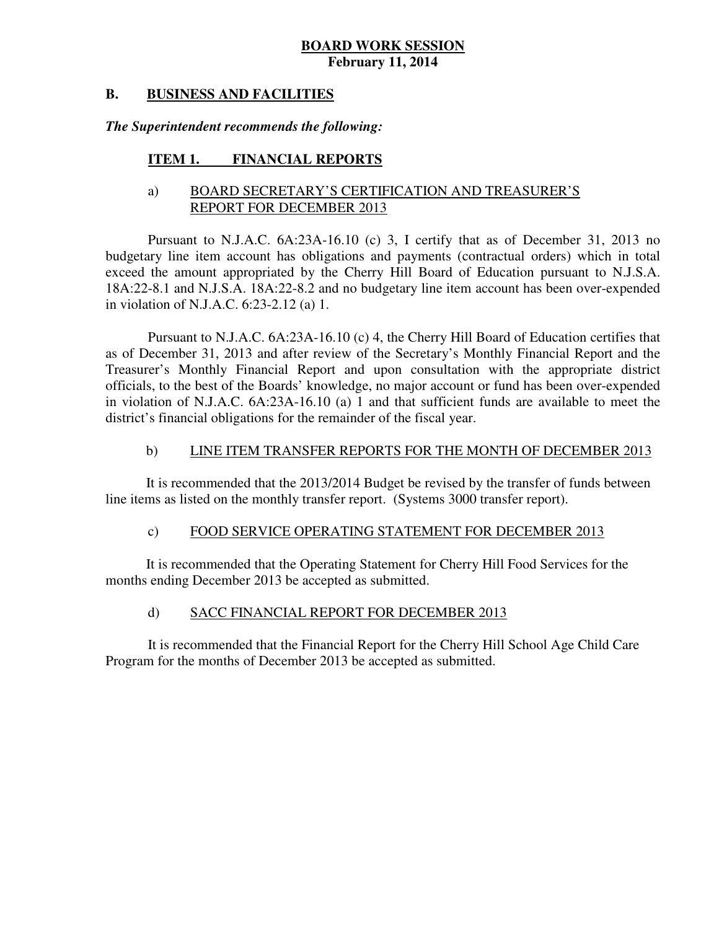#### **B. B. BUSINESS AND FACILITIES**

#### *The Superintendent recommends the following:*

#### **ITEM 1. FINANCIAL REPORTS**

#### a) BOARD SECRETARY'S CERTIFICATION AND TREASURER'S REPORT FOR DECEMBER 2013

 Pursuant to N.J.A.C. 6A:23A-16.10 (c) 3, I certify that as of December 31, 2013 no budgetary line item account has obligations and payments (contractual orders) which in total exceed the amount appropriated by the Cherry Hill Board of Education pursuant to N.J.S.A. 18A:22-8.1 and N.J.S.A. 18A:22-8.2 and no budgetary line item account has been over-expended in violation of N.J.A.C. 6:23-2.12 (a) 1.

 Pursuant to N.J.A.C. 6A:23A-16.10 (c) 4, the Cherry Hill Board of Education certifies that as of December 31, 2013 and after review of the Secretary's Monthly Financial Report and the Treasurer's Monthly Financial Report and upon consultation with the appropriate district officials, to the best of the Boards' knowledge, no major account or fund has been over-expended in violation of N.J.A.C. 6A:23A-16.10 (a) 1 and that sufficient funds are available to meet the district's financial obligations for the remainder of the fiscal year.

#### $b)$ LINE ITEM TRANSFER REPORTS FOR THE MONTH OF DECEMBER 2013

 It is recommended that the 2013/2014 Budget be revised by the transfer of funds between line items as listed on the monthly transfer report. (Systems 3000 transfer report).

#### $c)$ FOOD SERVICE OPERATING STATEMENT FOR DECEMBER 2013

 It is recommended that the Operating Statement for Cherry Hill Food Services for the months ending December 2013 be accepted as submitted.

#### $\mathbf{d}$ SACC FINANCIAL REPORT FOR DECEMBER 2013

 It is recommended that the Financial Report for the Cherry Hill School Age Child Care Program for the months of December 2013 be accepted as submitted.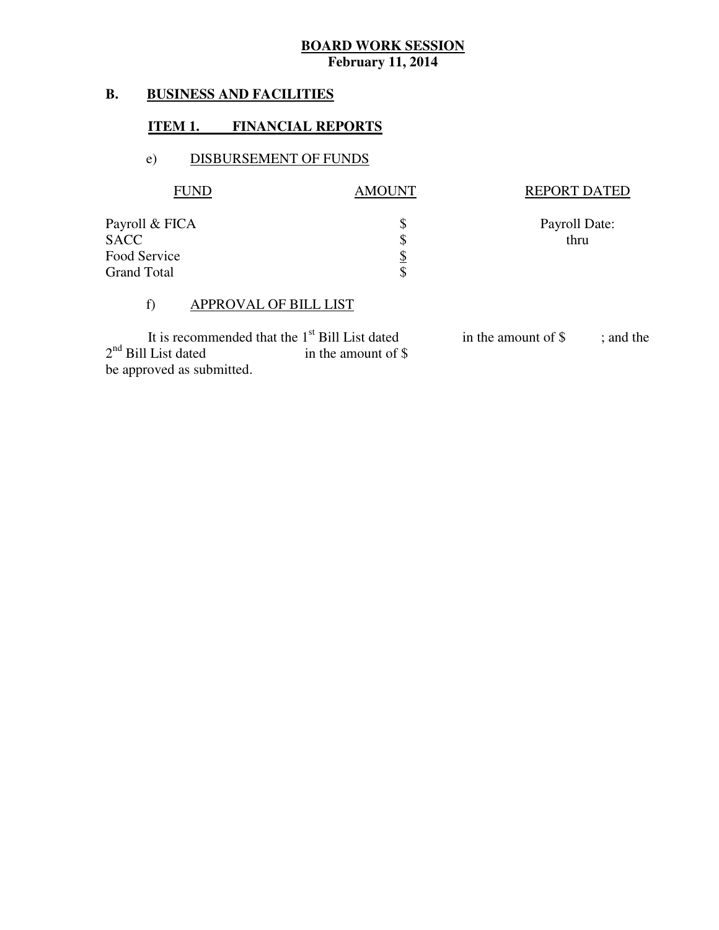#### **B. B. BUSINESS AND FACILITIES**

#### **ITEM 1. FINANCIAL REPORTS**

#### e) DISBURSEMENT OF FUNDS

| <b>FUND</b>                                                         | <b>AMOUNT</b>               | <b>REPORT DATED</b>   |
|---------------------------------------------------------------------|-----------------------------|-----------------------|
| Payroll & FICA<br><b>SACC</b><br>Food Service<br><b>Grand Total</b> | \$<br>\$<br><u>\$</u><br>\$ | Payroll Date:<br>thru |

#### f) APPROVAL OF BILL LIST

 $2<sup>nd</sup>$  Bill List dated in the amount of \$ be approved as submitted. It is recommended that the  $1<sup>st</sup>$  Bill List dated<br>I List dated in the amount of \$ in the amount of  $\$\;$  ; and the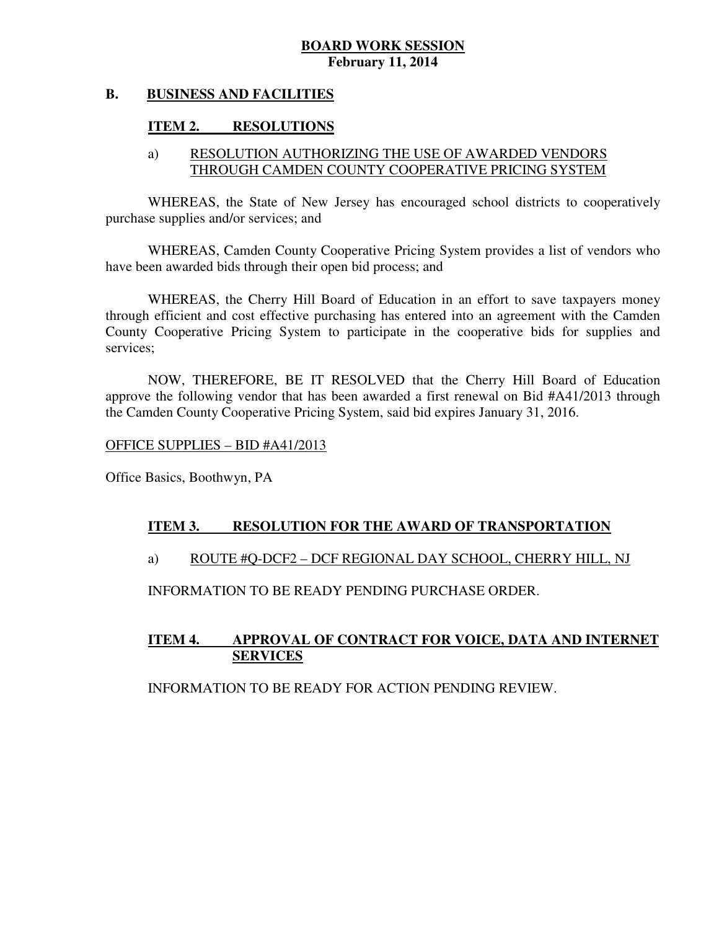#### **B. B. BUSINESS AND FACILITIES**

#### **ITEM 2. RESOLUTIONS**

#### a) RESOLUTION AUTHORIZING THE USE OF AWARDED VENDORS THROUGH CAMDEN COUNTY COOPERATIVE PRICING SYSTEM

 WHEREAS, the State of New Jersey has encouraged school districts to cooperatively purchase supplies and/or services; and

 WHEREAS, Camden County Cooperative Pricing System provides a list of vendors who have been awarded bids through their open bid process; and

 WHEREAS, the Cherry Hill Board of Education in an effort to save taxpayers money through efficient and cost effective purchasing has entered into an agreement with the Camden County Cooperative Pricing System to participate in the cooperative bids for supplies and services;

 NOW, THEREFORE, BE IT RESOLVED that the Cherry Hill Board of Education approve the following vendor that has been awarded a first renewal on Bid #A41/2013 through the Camden County Cooperative Pricing System, said bid expires January 31, 2016.

OFFICE SUPPLIES – BID #A41/2013

Office Basics, Boothwyn, PA

#### **ITEM 3. RESOLUTION FOR THE AWARD OF TRANSPORTATION**

#### a) ROUTE #Q-DCF2 – DCF REGIONAL DAY SCHOOL, CHERRY HILL, NJ

INFORMATION TO BE READY PENDING PURCHASE ORDER.

#### **ITEM 4. APPROVAL OF CONTRACT FOR VOICE, DATA AND INTERNET SERVICES**

INFORMATION TO BE READY FOR ACTION PENDING REVIEW.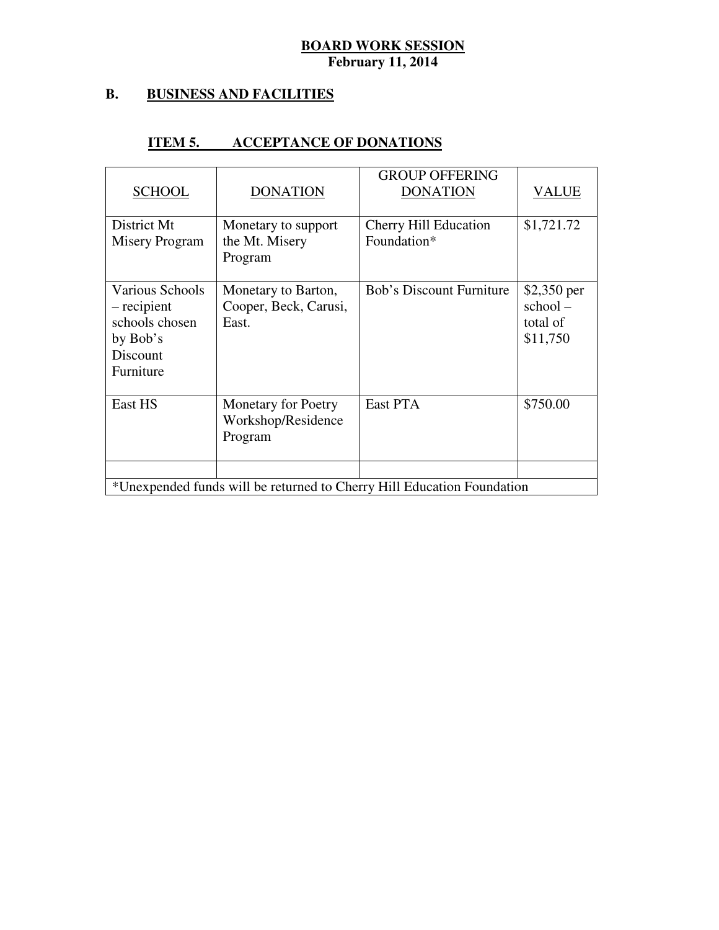#### **B. B. BUSINESS AND FACILITIES**

#### **ITEM 5. ACCEPTANCE OF DONATIONS**

| <b>SCHOOL</b>                                                                         | <b>DONATION</b>                                             | <b>GROUP OFFERING</b><br><b>DONATION</b>                               | <b>VALUE</b>                                   |
|---------------------------------------------------------------------------------------|-------------------------------------------------------------|------------------------------------------------------------------------|------------------------------------------------|
| District Mt<br>Misery Program                                                         | Monetary to support<br>the Mt. Misery<br>Program            | Cherry Hill Education<br>Foundation*                                   | \$1,721.72                                     |
| Various Schools<br>– recipient<br>schools chosen<br>by Bob's<br>Discount<br>Furniture | Monetary to Barton,<br>Cooper, Beck, Carusi,<br>East.       | <b>Bob's Discount Furniture</b>                                        | \$2,350 per<br>school-<br>total of<br>\$11,750 |
| East HS                                                                               | <b>Monetary for Poetry</b><br>Workshop/Residence<br>Program | East PTA                                                               | \$750.00                                       |
|                                                                                       |                                                             |                                                                        |                                                |
|                                                                                       |                                                             | *Unexpended funds will be returned to Cherry Hill Education Foundation |                                                |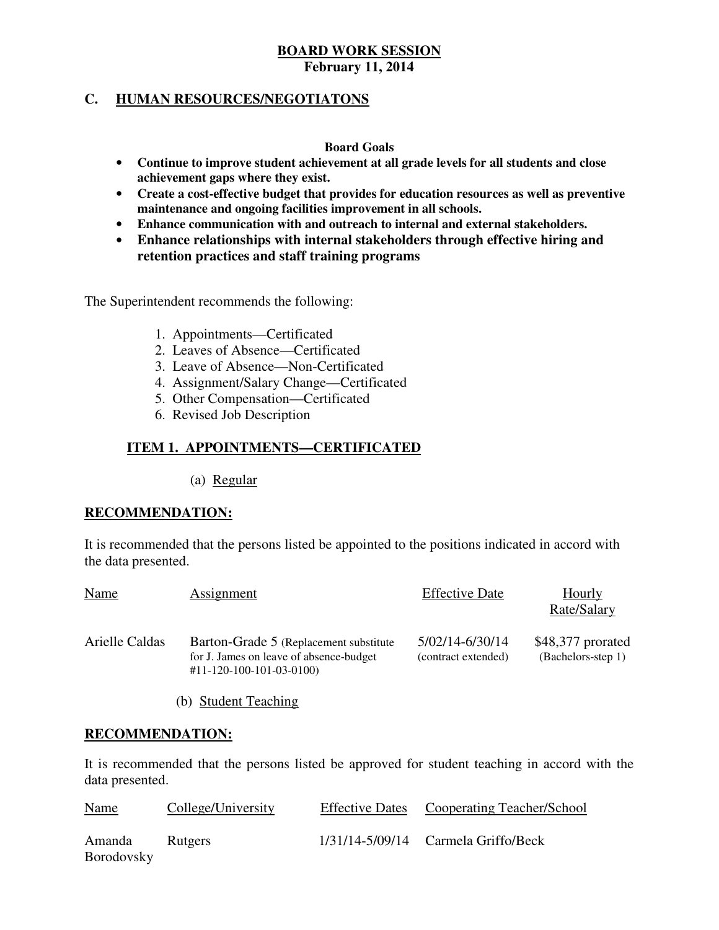#### **C. HUMAN RESOURCES/NEGOTIATONS**

#### **Board Goals**

- **Continue to improve student achievement at all grade levels for all students and close achievement gaps where they exist.**
- **Create a cost-effective budget that provides for education resources as well as preventive maintenance and ongoing facilities improvement in all schools.**
- **Enhance communication with and outreach to internal and external stakeholders.**
- **Enhance relationships with internal stakeholders through effective hiring and retention practices and staff training programs**

The Superintendent recommends the following:

- 1. Appointments—Certificated
- 2. Leaves of Absence—Certificated
- 3. Leave of Absence—Non-Certificated
- 4. Assignment/Salary Change—Certificated
- 5. Other Compensation—Certificated
- 6. Revised Job Description

#### **ITEM 1. APPOINTMENTS—CERTIFICATED**

(a) Regular

#### **RECOMMENDATION:**

 It is recommended that the persons listed be appointed to the positions indicated in accord with the data presented.

| <b>Name</b>    | <b>Assignment</b>                                                                                                          | <b>Effective Date</b>                  | Hourly<br>Rate/Salary                     |
|----------------|----------------------------------------------------------------------------------------------------------------------------|----------------------------------------|-------------------------------------------|
| Arielle Caldas | Barton-Grade 5 (Replacement substitute)<br>for J. James on leave of absence-budget<br>$\#11 - 120 - 100 - 101 - 03 - 0100$ | 5/02/14-6/30/14<br>(contract extended) | \$48,377 prorated<br>$(Bachelors-step 1)$ |

(b) Student Teaching

#### **RECOMMENDATION:**

 It is recommended that the persons listed be approved for student teaching in accord with the data presented.

| <u>Name</u>                 | College/University | Effective Dates Cooperating Teacher/School |
|-----------------------------|--------------------|--------------------------------------------|
| Amanda<br><b>Borodovsky</b> | <b>Rutgers</b>     | $1/31/14 - 5/09/14$ Carmela Griffo/Beck    |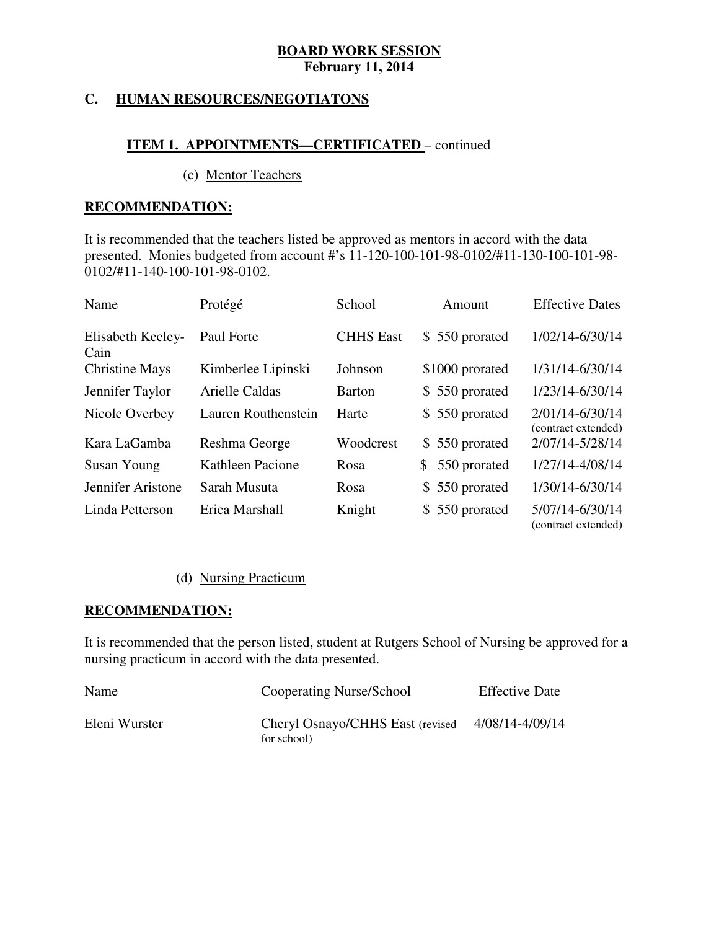#### **HUMAN RESOURCES/NEGOTIATONS**

#### **ITEM 1. APPOINTMENTS—CERTIFICATED** – continued

(c) Mentor Teachers

#### **RECOMMENDATION:**

 It is recommended that the teachers listed be approved as mentors in accord with the data presented. Monies budgeted from account #'s 11-120-100-101-98-0102/#11-130-100-101-98- 0102/#11-140-100-101-98-0102.

| Name                      | Protégé             | School           | Amount                         | <b>Effective Dates</b>                 |
|---------------------------|---------------------|------------------|--------------------------------|----------------------------------------|
| Elisabeth Keeley-<br>Cain | Paul Forte          | <b>CHHS East</b> | \$550 prorated                 | 1/02/14-6/30/14                        |
| <b>Christine Mays</b>     | Kimberlee Lipinski  | Johnson          | \$1000 prorated                | 1/31/14-6/30/14                        |
| Jennifer Taylor           | Arielle Caldas      | Barton           | \$550 prorated                 | 1/23/14-6/30/14                        |
| Nicole Overbey            | Lauren Routhenstein | Harte            | \$550 prorated                 | 2/01/14-6/30/14<br>(contract extended) |
| Kara LaGamba              | Reshma George       | Woodcrest        | \$550 prorated                 | 2/07/14-5/28/14                        |
| Susan Young               | Kathleen Pacione    | Rosa             | 550 prorated<br>$\mathbb{S}^-$ | 1/27/14-4/08/14                        |
| Jennifer Aristone         | Sarah Musuta        | Rosa             | \$550 prorated                 | 1/30/14-6/30/14                        |
| Linda Petterson           | Erica Marshall      | Knight           | \$550 prorated                 | 5/07/14-6/30/14<br>(contract extended) |

### (d) Nursing Practicum

### **RECOMMENDATION:**

 It is recommended that the person listed, student at Rutgers School of Nursing be approved for a nursing practicum in accord with the data presented.

| <u>Name</u>   | Cooperating Nurse/School                         | <b>Effective Date</b> |
|---------------|--------------------------------------------------|-----------------------|
| Eleni Wurster | Cheryl Osnayo/CHHS East (revised)<br>for school) | 4/08/14-4/09/14       |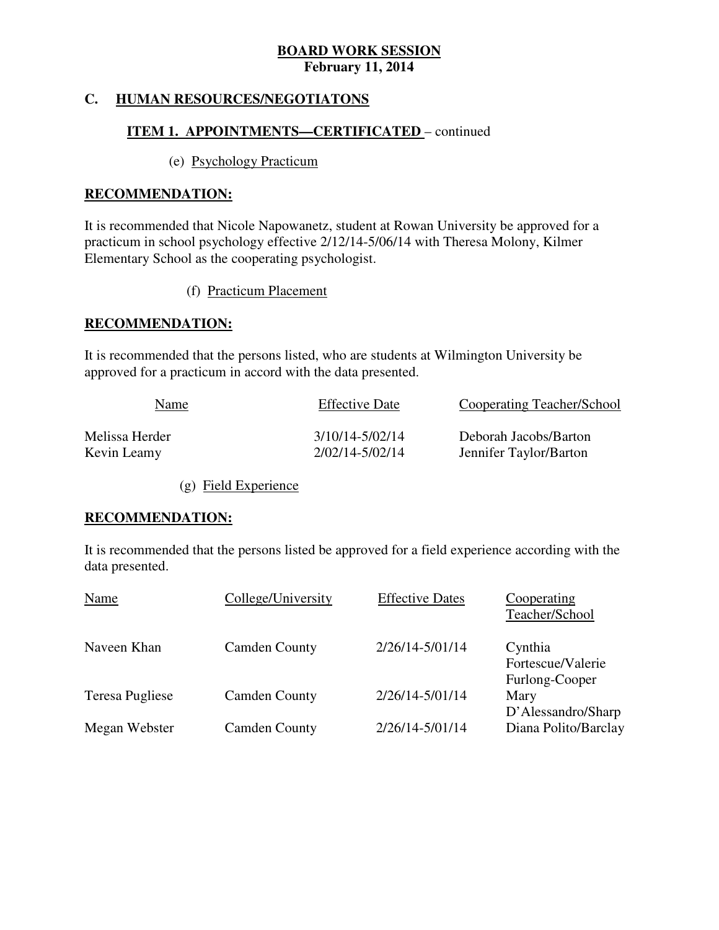#### **HUMAN RESOURCES/NEGOTIATONS**

#### **ITEM 1. APPOINTMENTS—CERTIFICATED** – continued

#### (e) Psychology Practicum

#### **RECOMMENDATION:**

 It is recommended that Nicole Napowanetz, student at Rowan University be approved for a practicum in school psychology effective 2/12/14-5/06/14 with Theresa Molony, Kilmer Elementary School as the cooperating psychologist.

(f) Practicum Placement

#### **RECOMMENDATION:**

 It is recommended that the persons listed, who are students at Wilmington University be approved for a practicum in accord with the data presented.

| Name           | <b>Effective Date</b> | Cooperating Teacher/School |
|----------------|-----------------------|----------------------------|
| Melissa Herder | 3/10/14-5/02/14       | Deborah Jacobs/Barton      |
| Kevin Leamy    | 2/02/14-5/02/14       | Jennifer Taylor/Barton     |

(g) Field Experience

#### **RECOMMENDATION:**

 It is recommended that the persons listed be approved for a field experience according with the data presented.

| Name                   | College/University   | <b>Effective Dates</b> | Cooperating<br>Teacher/School                  |
|------------------------|----------------------|------------------------|------------------------------------------------|
| Naveen Khan            | <b>Camden County</b> | 2/26/14-5/01/14        | Cynthia<br>Fortescue/Valerie<br>Furlong-Cooper |
| <b>Teresa Pugliese</b> | <b>Camden County</b> | 2/26/14-5/01/14        | Mary<br>D'Alessandro/Sharp                     |
| Megan Webster          | <b>Camden County</b> | 2/26/14-5/01/14        | Diana Polito/Barclay                           |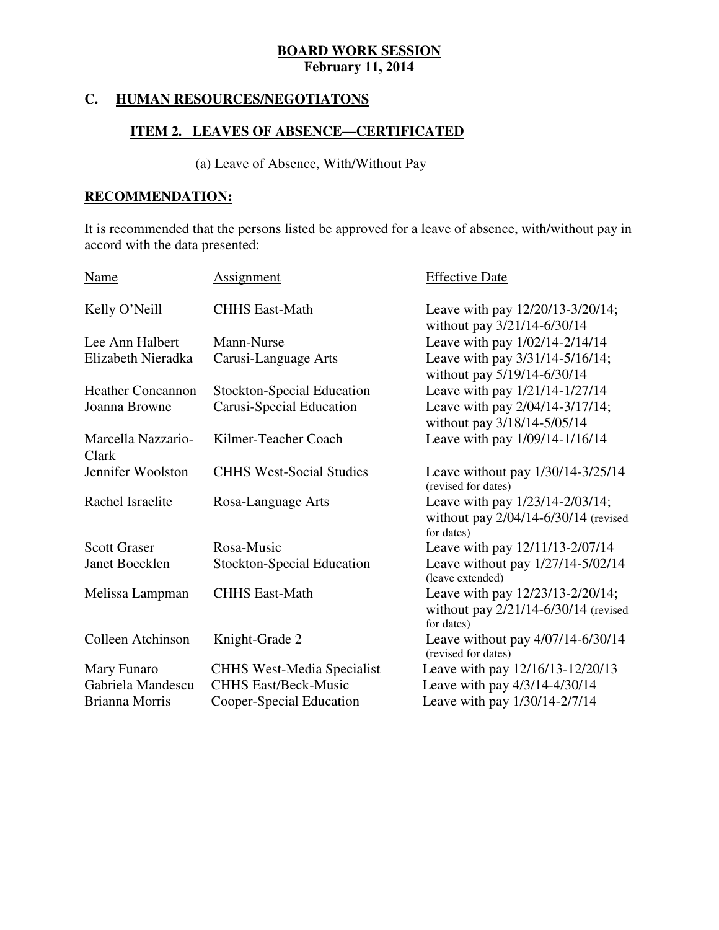#### **HUMAN RESOURCES/NEGOTIATONS**

#### **ITEM 2. LEAVES OF ABSENCE—CERTIFICATED**

#### (a) Leave of Absence, With/Without Pay

### **RECOMMENDATION:**

 It is recommended that the persons listed be approved for a leave of absence, with/without pay in accord with the data presented:

| Name                        | <b>Assignment</b>                 | <b>Effective Date</b>                                                                      |
|-----------------------------|-----------------------------------|--------------------------------------------------------------------------------------------|
| Kelly O'Neill               | <b>CHHS East-Math</b>             | Leave with pay 12/20/13-3/20/14;<br>without pay 3/21/14-6/30/14                            |
| Lee Ann Halbert             | Mann-Nurse                        | Leave with pay 1/02/14-2/14/14                                                             |
| Elizabeth Nieradka          | Carusi-Language Arts              | Leave with pay 3/31/14-5/16/14;<br>without pay 5/19/14-6/30/14                             |
| <b>Heather Concannon</b>    | <b>Stockton-Special Education</b> | Leave with pay 1/21/14-1/27/14                                                             |
| Joanna Browne               | Carusi-Special Education          | Leave with pay 2/04/14-3/17/14;<br>without pay 3/18/14-5/05/14                             |
| Marcella Nazzario-<br>Clark | Kilmer-Teacher Coach              | Leave with pay 1/09/14-1/16/14                                                             |
| Jennifer Woolston           | <b>CHHS West-Social Studies</b>   | Leave without pay 1/30/14-3/25/14<br>(revised for dates)                                   |
| Rachel Israelite            | Rosa-Language Arts                | Leave with pay 1/23/14-2/03/14;<br>without pay $2/04/14 - 6/30/14$ (revised<br>for dates)  |
| <b>Scott Graser</b>         | Rosa-Music                        | Leave with pay 12/11/13-2/07/14                                                            |
| Janet Boecklen              | <b>Stockton-Special Education</b> | Leave without pay 1/27/14-5/02/14<br>(leave extended)                                      |
| Melissa Lampman             | <b>CHHS East-Math</b>             | Leave with pay 12/23/13-2/20/14;<br>without pay $2/21/14 - 6/30/14$ (revised<br>for dates) |
| Colleen Atchinson           | Knight-Grade 2                    | Leave without pay $4/07/14-6/30/14$<br>(revised for dates)                                 |
| Mary Funaro                 | <b>CHHS West-Media Specialist</b> | Leave with pay 12/16/13-12/20/13                                                           |
| Gabriela Mandescu           | <b>CHHS East/Beck-Music</b>       | Leave with pay 4/3/14-4/30/14                                                              |
| Brianna Morris              | Cooper-Special Education          | Leave with pay 1/30/14-2/7/14                                                              |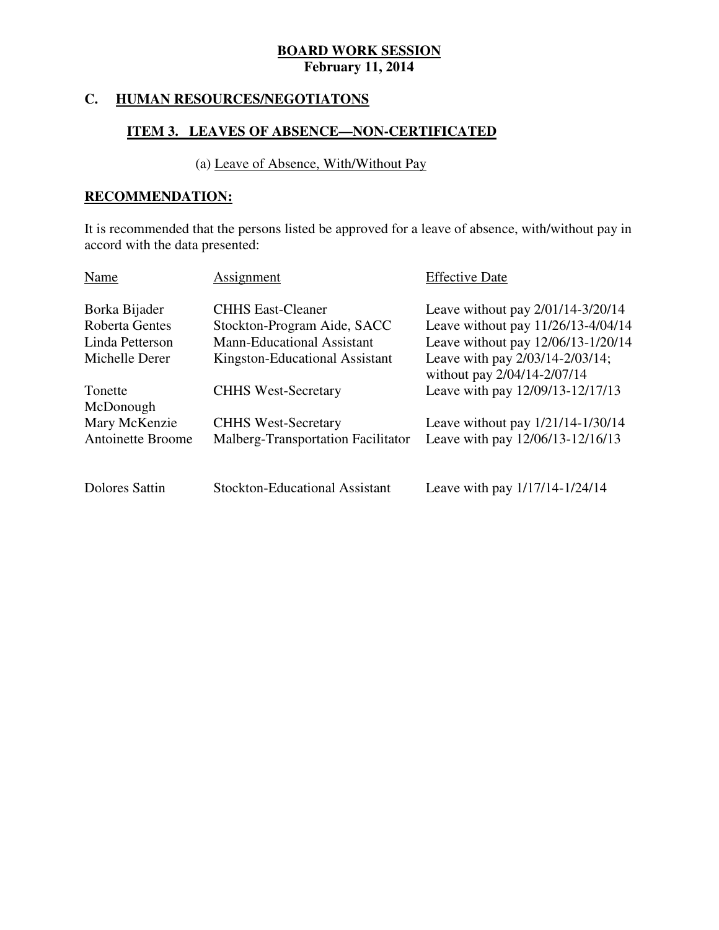#### **HUMAN RESOURCES/NEGOTIATONS**

### **ITEM 3. LEAVES OF ABSENCE—NON-CERTIFICATED**

#### (a) Leave of Absence, With/Without Pay

### **RECOMMENDATION:**

 It is recommended that the persons listed be approved for a leave of absence, with/without pay in accord with the data presented:

| Name                     | Assignment                            | <b>Effective Date</b>                                          |
|--------------------------|---------------------------------------|----------------------------------------------------------------|
| Borka Bijader            | <b>CHHS East-Cleaner</b>              | Leave without pay $2/01/14-3/20/14$                            |
| Roberta Gentes           | Stockton-Program Aide, SACC           | Leave without pay 11/26/13-4/04/14                             |
| Linda Petterson          | <b>Mann-Educational Assistant</b>     | Leave without pay 12/06/13-1/20/14                             |
| Michelle Derer           | Kingston-Educational Assistant        | Leave with pay 2/03/14-2/03/14;<br>without pay 2/04/14-2/07/14 |
| Tonette                  | <b>CHHS West-Secretary</b>            | Leave with pay 12/09/13-12/17/13                               |
| McDonough                |                                       |                                                                |
| Mary McKenzie            | <b>CHHS West-Secretary</b>            | Leave without pay $1/21/14 - 1/30/14$                          |
| <b>Antoinette Broome</b> | Malberg-Transportation Facilitator    | Leave with pay 12/06/13-12/16/13                               |
| Dolores Sattin           | <b>Stockton-Educational Assistant</b> | Leave with pay 1/17/14-1/24/14                                 |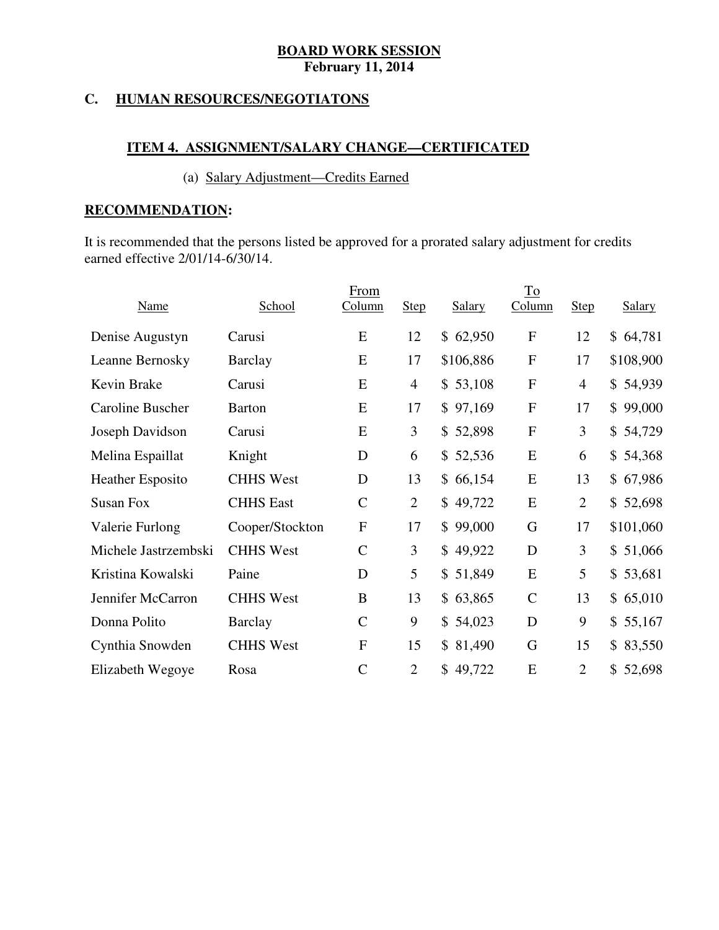#### **C. HUMAN RESOURCES/NEGOTIATONS**

### **ITEM 4. ASSIGNMENT/SALARY CHANGE—CERTIFICATED**

#### (a) Salary Adjustment—Credits Earned

### **RECOMMENDATION:**

 It is recommended that the persons listed be approved for a prorated salary adjustment for credits earned effective 2/01/14-6/30/14.

|                         |                  | From          |                |           | $\underline{\operatorname{To}}$ |                |           |
|-------------------------|------------------|---------------|----------------|-----------|---------------------------------|----------------|-----------|
| <b>Name</b>             | School           | Column        | <b>Step</b>    | Salary    | Column                          | <b>Step</b>    | Salary    |
| Denise Augustyn         | Carusi           | E             | 12             | \$62,950  | ${\bf F}$                       | 12             | \$64,781  |
| Leanne Bernosky         | <b>Barclay</b>   | E             | 17             | \$106,886 | ${\bf F}$                       | 17             | \$108,900 |
| Kevin Brake             | Carusi           | E             | $\overline{4}$ | \$53,108  | ${\bf F}$                       | $\overline{4}$ | \$54,939  |
| Caroline Buscher        | <b>Barton</b>    | E             | 17             | \$97,169  | ${\bf F}$                       | 17             | \$99,000  |
| Joseph Davidson         | Carusi           | E             | 3              | \$52,898  | ${\bf F}$                       | 3              | \$54,729  |
| Melina Espaillat        | Knight           | D             | 6              | \$52,536  | E                               | 6              | \$54,368  |
| <b>Heather Esposito</b> | <b>CHHS West</b> | D             | 13             | \$66,154  | E                               | 13             | \$67,986  |
| <b>Susan Fox</b>        | <b>CHHS East</b> | $\mathcal{C}$ | $\overline{2}$ | \$49,722  | E                               | $\overline{2}$ | \$52,698  |
| Valerie Furlong         | Cooper/Stockton  | ${\bf F}$     | 17             | \$99,000  | G                               | 17             | \$101,060 |
| Michele Jastrzembski    | <b>CHHS West</b> | $\mathcal{C}$ | 3              | \$49,922  | D                               | 3              | \$51,066  |
| Kristina Kowalski       | Paine            | D             | 5              | \$51,849  | E                               | 5              | \$53,681  |
| Jennifer McCarron       | <b>CHHS West</b> | B             | 13             | \$63,865  | $\mathcal{C}$                   | 13             | \$65,010  |
| Donna Polito            | Barclay          | $\mathcal{C}$ | 9              | \$54,023  | D                               | 9              | \$55,167  |
| Cynthia Snowden         | <b>CHHS West</b> | $\mathbf F$   | 15             | \$81,490  | G                               | 15             | \$83,550  |
| Elizabeth Wegoye        | Rosa             | $\mathcal{C}$ | $\overline{2}$ | \$49,722  | E                               | $\overline{2}$ | \$52,698  |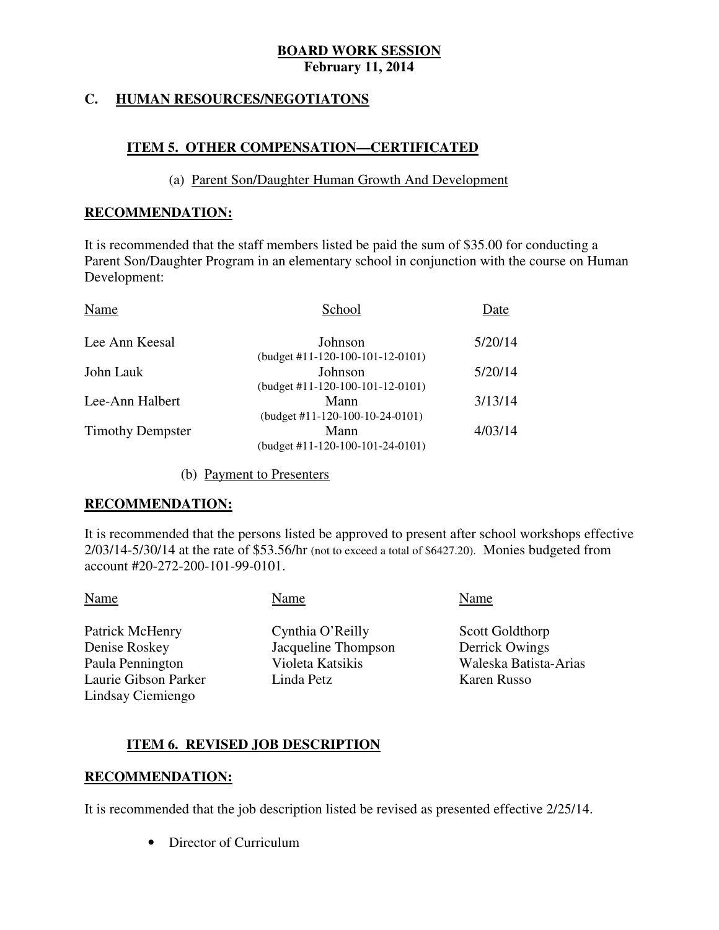#### **C. HUMAN RESOURCES/NEGOTIATONS**

### **ITEM 5. OTHER COMPENSATION—CERTIFICATED**

#### (a) Parent Son/Daughter Human Growth And Development

#### **RECOMMENDATION:**

 It is recommended that the staff members listed be paid the sum of \$35.00 for conducting a Parent Son/Daughter Program in an elementary school in conjunction with the course on Human Development:

| School                             | Date    |
|------------------------------------|---------|
| Johnson                            | 5/20/14 |
| (budget #11-120-100-101-12-0101)   |         |
| Johnson                            | 5/20/14 |
| $(budget #11-120-100-101-12-0101)$ |         |
| Mann                               | 3/13/14 |
| $(budget #11-120-100-10-24-0101)$  |         |
| Mann                               | 4/03/14 |
| (budget #11-120-100-101-24-0101)   |         |
|                                    |         |

#### (b) Payment to Presenters

#### **RECOMMENDATION:**

 It is recommended that the persons listed be approved to present after school workshops effective 2/03/14-5/30/14 at the rate of \$53.56/hr (not to exceed a total of \$6427.20). Monies budgeted from account #20-272-200-101-99-0101.

Denise Roskey Paula Pennington Laurie Gibson Parker Linda Petz Karen Russo Lindsay Ciemiengo

Name Name Name Name Name

Patrick McHenry Cynthia O'Reilly Scott Goldthorp Jacqueline Thompson Derrick Owings

Violeta Katsikis Waleska Batista-Arias

#### **ITEM 6. REVISED JOB DESCRIPTION**

#### **RECOMMENDATION:**

It is recommended that the job description listed be revised as presented effective 2/25/14.

• Director of Curriculum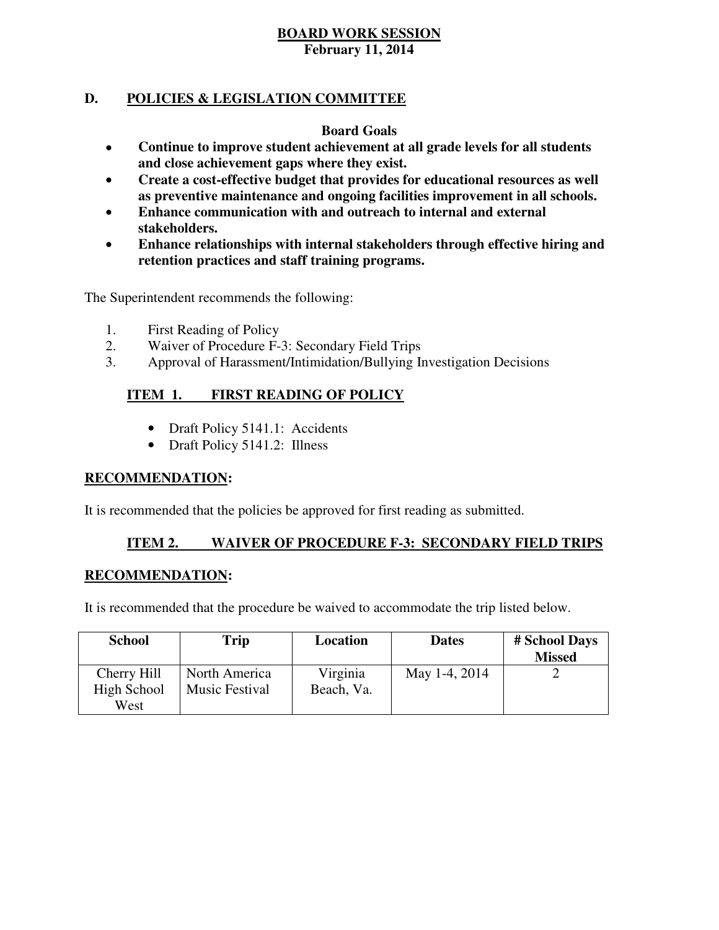### **D. POLICIES & LEGISLATION COMMITTEE**

#### **Board Goals**

- **Continue to improve student achievement at all grade levels for all students and close achievement gaps where they exist.**
- **Create a cost-effective budget that provides for educational resources as well as preventive maintenance and ongoing facilities improvement in all schools.**
- **Enhance communication with and outreach to internal and external stakeholders.**
- **Enhance relationships with internal stakeholders through effective hiring and retention practices and staff training programs.**

The Superintendent recommends the following:

- 1. First Reading of Policy
- 2. Waiver of Procedure F-3: Secondary Field Trips
- 3. Approval of Harassment/Intimidation/Bullying Investigation Decisions

#### **ITEM 1. FIRST READING OF POLICY**

- Draft Policy 5141.1: Accidents
- Draft Policy 5141.2: Illness

#### **RECOMMENDATION:**

It is recommended that the policies be approved for first reading as submitted.

#### **ITEM 2. WAIVER OF PROCEDURE F-3: SECONDARY FIELD TRIPS**

#### **RECOMMENDATION:**

It is recommended that the procedure be waived to accommodate the trip listed below.

| <b>School</b> | Trip                  | Location   | <b>Dates</b>  | # School Days<br><b>Missed</b> |
|---------------|-----------------------|------------|---------------|--------------------------------|
| Cherry Hill   | North America         | Virginia   | May 1-4, 2014 |                                |
| High School   | <b>Music Festival</b> | Beach, Va. |               |                                |
| West          |                       |            |               |                                |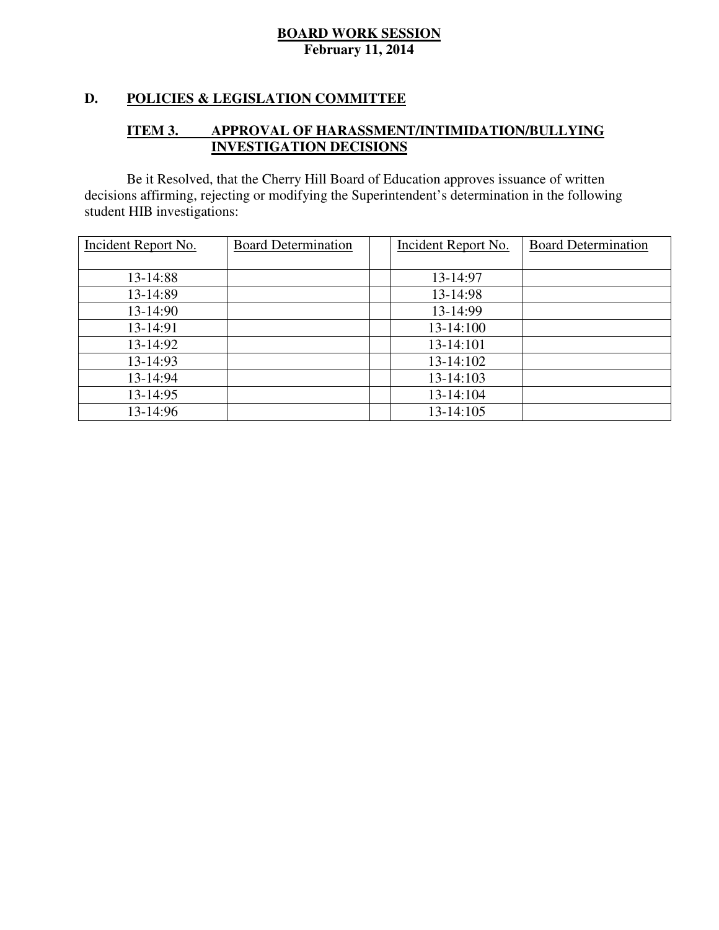#### **D. POLICIES & LEGISLATION COMMITTEE**

#### **ITEM 3. IMPROVAL OF HARASSMENT/INTIMIDATION/BULLYING INVESTIGATION DECISIONS**

 decisions affirming, rejecting or modifying the Superintendent's determination in the following student HIB investigations: Be it Resolved, that the Cherry Hill Board of Education approves issuance of written

| Incident Report No. | <b>Board Determination</b> | Incident Report No. | <b>Board Determination</b> |
|---------------------|----------------------------|---------------------|----------------------------|
|                     |                            |                     |                            |
| 13-14:88            |                            | 13-14:97            |                            |
| 13-14:89            |                            | 13-14:98            |                            |
| 13-14:90            |                            | 13-14:99            |                            |
| 13-14:91            |                            | 13-14:100           |                            |
| 13-14:92            |                            | 13-14:101           |                            |
| $13 - 14:93$        |                            | 13-14:102           |                            |
| 13-14:94            |                            | 13-14:103           |                            |
| 13-14:95            |                            | 13-14:104           |                            |
| 13-14:96            |                            | 13-14:105           |                            |